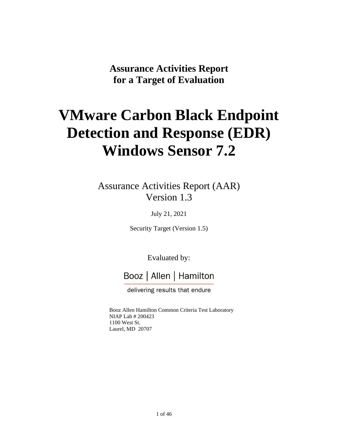**Assurance Activities Report for a Target of Evaluation**

# **VMware Carbon Black Endpoint Detection and Response (EDR) Windows Sensor 7.2**

Assurance Activities Report (AAR) Version 1.3

July 21, 2021

Security Target (Version 1.5)

Evaluated by:

## Booz | Allen | Hamilton

delivering results that endure

Booz Allen Hamilton Common Criteria Test Laboratory NIAP Lab # 200423 1100 West St. Laurel, MD 20707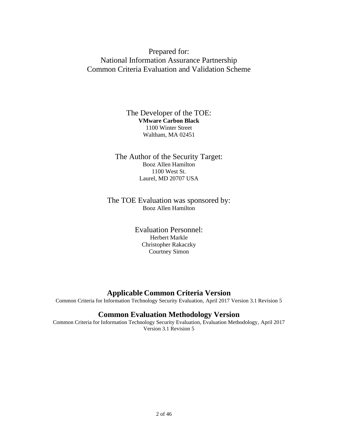## Prepared for: National Information Assurance Partnership Common Criteria Evaluation and Validation Scheme

#### The Developer of the TOE: **VMware Carbon Black** 1100 Winter Street Waltham, MA 02451

The Author of the Security Target: Booz Allen Hamilton 1100 West St. Laurel, MD 20707 USA

#### The TOE Evaluation was sponsored by: Booz Allen Hamilton

Evaluation Personnel: Herbert Markle Christopher Rakaczky Courtney Simon

## **Applicable Common Criteria Version**

Common Criteria for Information Technology Security Evaluation, April 2017 Version 3.1 Revision 5

## **Common Evaluation Methodology Version**

Common Criteria for Information Technology Security Evaluation, Evaluation Methodology, April 2017 Version 3.1 Revision 5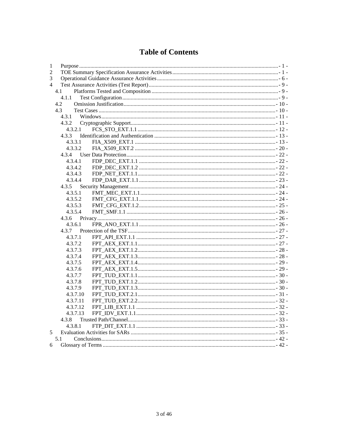## **Table of Contents**

| $\mathbf{1}$   |          |  |  |
|----------------|----------|--|--|
| 2              |          |  |  |
| 3              |          |  |  |
| $\overline{4}$ |          |  |  |
|                | 4.1      |  |  |
|                | 4.1.1    |  |  |
|                | 4.2      |  |  |
|                | 4.3      |  |  |
|                | 4.3.1    |  |  |
|                | 4.3.2    |  |  |
|                | 4.3.2.1  |  |  |
|                | 4.3.3    |  |  |
|                | 4.3.3.1  |  |  |
|                | 4.3.3.2  |  |  |
|                | 4.3.4    |  |  |
|                | 4.3.4.1  |  |  |
|                | 4.3.4.2  |  |  |
|                | 4.3.4.3  |  |  |
|                | 4.3.4.4  |  |  |
|                | 4.3.5    |  |  |
|                | 4.3.5.1  |  |  |
|                | 4.3.5.2  |  |  |
|                | 4.3.5.3  |  |  |
|                | 4.3.5.4  |  |  |
|                | 4.3.6    |  |  |
|                | 4.3.6.1  |  |  |
|                | 4.3.7    |  |  |
|                | 4.3.7.1  |  |  |
|                | 4.3.7.2  |  |  |
|                | 4.3.7.3  |  |  |
|                | 4.3.7.4  |  |  |
|                | 4.3.7.5  |  |  |
|                | 4.3.7.6  |  |  |
|                | 4.3.7.7  |  |  |
|                | 4.3.7.8  |  |  |
|                | 4.3.7.9  |  |  |
|                | 4.3.7.10 |  |  |
|                | 4.3.7.11 |  |  |
|                | 4.3.7.12 |  |  |
|                | 4.3.7.13 |  |  |
|                | 4.3.8    |  |  |
|                | 4.3.8.1  |  |  |
| 5              |          |  |  |
|                | 5.1      |  |  |
| 6              |          |  |  |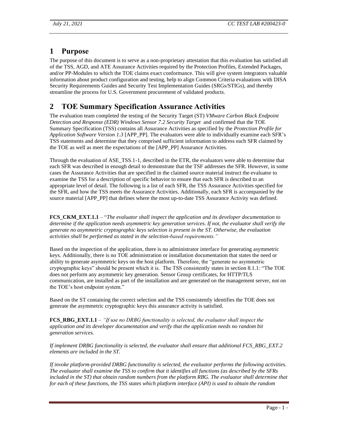## <span id="page-3-0"></span>**1 Purpose**

The purpose of this document is to serve as a non-proprietary attestation that this evaluation has satisfied all of the TSS, AGD, and ATE Assurance Activities required by the Protection Profiles, Extended Packages, and/or PP-Modules to which the TOE claims exact conformance. This will give system integrators valuable information about product configuration and testing, help to align Common Criteria evaluations with DISA Security Requirements Guides and Security Test Implementation Guides (SRGs/STIGs), and thereby streamline the process for U.S. Government procurement of validated products.

## <span id="page-3-1"></span>**2 TOE Summary Specification Assurance Activities**

The evaluation team completed the testing of the Security Target (ST) *VMware Carbon Black Endpoint Detection and Response (EDR) Windows Sensor 7.2 Security Target* and confirmed that the TOE Summary Specification (TSS) contains all Assurance Activities as specified by the *Protection Profile for Application Software Version 1.3* [APP\_PP]. The evaluators were able to individually examine each SFR's TSS statements and determine that they comprised sufficient information to address each SFR claimed by the TOE as well as meet the expectations of the [APP\_PP] Assurance Activities.

Through the evaluation of ASE\_TSS.1-1, described in the ETR, the evaluators were able to determine that each SFR was described in enough detail to demonstrate that the TSF addresses the SFR. However, in some cases the Assurance Activities that are specified in the claimed source material instruct the evaluator to examine the TSS for a description of specific behavior to ensure that each SFR is described to an appropriate level of detail. The following is a list of each SFR, the TSS Assurance Activities specified for the SFR, and how the TSS meets the Assurance Activities. Additionally, each SFR is accompanied by the source material [APP\_PP] that defines where the most up-to-date TSS Assurance Activity was defined.

**FCS\_CKM\_EXT.1.1** – "*The evaluator shall inspect the application and its developer documentation to determine if the application needs asymmetric key generation services. If not, the evaluator shall verify the generate no asymmetric cryptographic keys selection is present in th[e ST.](https://www.niap-ccevs.org/MMO/PP/-429-/#abbr_ST) Otherwise, the evaluation activities shall be performed as stated in the selection-based requirements."*

Based on the inspection of the application, there is no administrator interface for generating asymmetric keys. Additionally, there is no TOE administration or installation documentation that states the need or ability to generate asymmetric keys on the host platform. Therefore, the "generate no asymmetric cryptographic keys" should be present which it is. The TSS consistently states in section 8.1.1: "The TOE does not perform any asymmetric key generation. Sensor Group certificates, for HTTP/TLS communication, are installed as part of the installation and are generated on the management server, not on the TOE's host endpoint system."

Based on the ST containing the correct selection and the TSS consistently identifies the TOE does not generate the asymmetric cryptographic keys this assurance activity is satisfied.

**FCS\_RBG\_EXT.1.1** – *"If use no DRBG functionality is selected, the evaluator shall inspect the application and its developer documentation and verify that the application needs no random bit generation services.* 

*If implement DRBG functionality is selected, the evaluator shall ensure that additional FCS\_RBG\_EXT.2 elements are included in the ST.* 

*If invoke platform-provided DRBG functionality is selected, the evaluator performs the following activities. The evaluator shall examine the TSS to confirm that it identifies all functions (as described by the SFRs included in the ST) that obtain random numbers from the platform RBG. The evaluator shall determine that for each of these functions, the TSS states which platform interface (API) is used to obtain the random*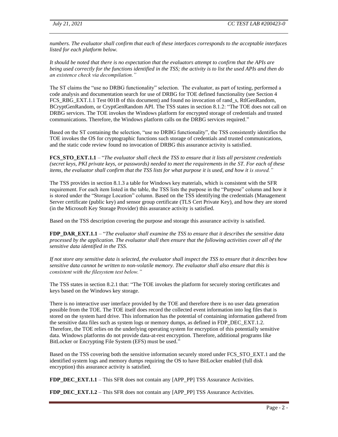*numbers. The evaluator shall confirm that each of these interfaces corresponds to the acceptable interfaces listed for each platform below.* 

*It should be noted that there is no expectation that the evaluators attempt to confirm that the APIs are being used correctly for the functions identified in the TSS; the activity is to list the used APIs and then do an existence check via decompilation."*

The ST claims the "use no DRBG functionality" selection. The evaluator, as part of testing, performed a code analysis and documentation search for use of DRBG for TOE defined functionality (see Section 4 FCS\_RBG\_EXT.1.1 Test 001B of this document) and found no invocation of rand\_s, RtlGenRandom, BCryptGenRandom, or CryptGenRandom API. The TSS states in section 8.1.2: "The TOE does not call on DRBG services. The TOE invokes the Windows platform for encrypted storage of credentials and trusted communications. Therefore, the Windows platform calls on the DRBG services required."

Based on the ST containing the selection, "use no DRBG functionality", the TSS consistently identifies the TOE invokes the OS for cryptographic functions such storage of credentials and trusted communications, and the static code review found no invocation of DRBG this assurance activity is satisfied.

**FCS\_STO\_EXT.1.1** – "*The evaluator shall check the TSS to ensure that it lists all persistent credentials (secret keys, PKI private keys, or passwords) needed to meet the requirements in the [ST.](https://www.niap-ccevs.org/MMO/PP/-429-/#abbr_ST) For each of these items, the evaluator shall confirm that the TSS lists for what purpose it is used, and how it is stored."*

The TSS provides in section 8.1.3 a table for Windows key materials, which is consistent with the SFR requirement. For each item listed in the table, the TSS lists the purpose in the "Purpose" column and how it is stored under the "Storage Location" column. Based on the TSS identifying the credentials (Management Server certificate (public key) and sensor group certificate (TLS Cert Private Key), and how they are stored (in the Microsoft Key Storage Provider) this assurance activity is satisfied.

Based on the TSS description covering the purpose and storage this assurance activity is satisfied.

**FDP\_DAR\_EXT.1.1** – "*The evaluator shall examine the TSS to ensure that it describes the sensitive data processed by the application. The evaluator shall then ensure that the following activities cover all of the sensitive data identified in the TSS.*

*If not store any sensitive data is selected, the evaluator shall inspect the TSS to ensure that it describes how sensitive data cannot be written to non-volatile memory. The evaluator shall also ensure that this is consistent with the filesystem test below."*

The TSS states in section 8.2.1 that: "The TOE invokes the platform for securely storing certificates and keys based on the Windows key storage.

There is no interactive user interface provided by the TOE and therefore there is no user data generation possible from the TOE. The TOE itself does record the collected event information into log files that is stored on the system hard drive. This information has the potential of containing information gathered from the sensitive data files such as system logs or memory dumps, as defined in FDP\_DEC\_EXT.1.2. Therefore, the TOE relies on the underlying operating system for encryption of this potentially sensitive data. Windows platforms do not provide data-at-rest encryption. Therefore, additional programs like BitLocker or Encrypting File System (EFS) must be used."

Based on the TSS covering both the sensitive information securely stored under FCS STO EXT.1 and the identified system logs and memory dumps requiring the OS to have BitLocker enabled (full disk encryption) this assurance activity is satisfied.

**FDP\_DEC\_EXT.1.1** – This SFR does not contain any [APP\_PP] TSS Assurance Activities.

**FDP\_DEC\_EXT.1.2** – This SFR does not contain any [APP\_PP] TSS Assurance Activities.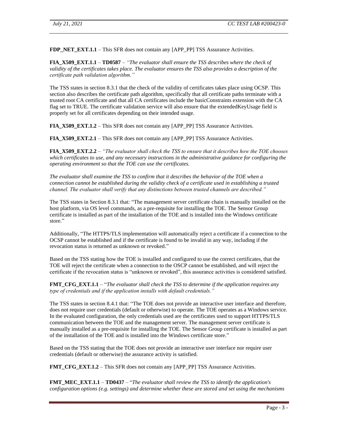**FDP\_NET\_EXT.1.1** – This SFR does not contain any [APP\_PP] TSS Assurance Activities.

**FIA\_X509\_EXT.1.1** – **TD0587** – *"The evaluator shall ensure the TSS describes where the check of validity of the certificates takes place. The evaluator ensures the TSS also provides a description of the certificate path validation algorithm."*

The TSS states in section 8.3.1 that the check of the validity of certificates takes place using OCSP. This section also describes the certificate path algorithm, specifically that all certificate paths terminate with a trusted root CA certificate and that all CA certificates include the basicConstraints extension with the CA flag set to TRUE. The certificate validation service will also ensure that the extendedKeyUsage field is properly set for all certificates depending on their intended usage.

**FIA\_X509\_EXT.1.2** – This SFR does not contain any [APP\_PP] TSS Assurance Activities.

**FIA\_X509\_EXT.2.1** – This SFR does not contain any [APP\_PP] TSS Assurance Activities.

**FIA\_X509\_EXT.2.2** – *"The evaluator shall check the TSS to ensure that it describes how the TOE chooses which certificates to use, and any necessary instructions in the administrative guidance for configuring the operating environment so that the TOE can use the certificates.*

*The evaluator shall examine the TSS to confirm that it describes the behavior of the TOE when a connection cannot be established during the validity check of a certificate used in establishing a trusted channel. The evaluator shall verify that any distinctions between trusted channels are described."*

The TSS states in Section 8.3.1 that: "The management server certificate chain is manually installed on the host platform, via OS level commands, as a pre-requisite for installing the TOE. The Sensor Group certificate is installed as part of the installation of the TOE and is installed into the Windows certificate store."

Additionally, "The HTTPS/TLS implementation will automatically reject a certificate if a connection to the OCSP cannot be established and if the certificate is found to be invalid in any way, including if the revocation status is returned as unknown or revoked."

Based on the TSS stating how the TOE is installed and configured to use the correct certificates, that the TOE will reject the certificate when a connection to the OSCP cannot be established, and will reject the certificate if the revocation status is "unknown or revoked", this assurance activities is considered satisfied.

**FMT\_CFG\_EXT.1.1** – "*The evaluator shall check the TSS to determine if the application requires any type of credentials and if the application installs with default credentials."*

The TSS states in section 8.4.1 that: "The TOE does not provide an interactive user interface and therefore, does not require user credentials (default or otherwise) to operate. The TOE operates as a Windows service. In the evaluated configuration, the only credentials used are the certificates used to support HTTPS/TLS communication between the TOE and the management server. The management server certificate is manually installed as a pre-requisite for installing the TOE. The Sensor Group certificate is installed as part of the installation of the TOE and is installed into the Windows certificate store."

Based on the TSS stating that the TOE does not provide an interactive user interface nor require user credentials (default or otherwise) the assurance activity is satisfied.

**FMT\_CFG\_EXT.1.2** – This SFR does not contain any [APP\_PP] TSS Assurance Activities.

**FMT\_MEC\_EXT.1.1** – **TD0437** – "*The evaluator shall review the TSS to identify the application's configuration options (e.g. settings) and determine whether these are stored and set using the mechanisms*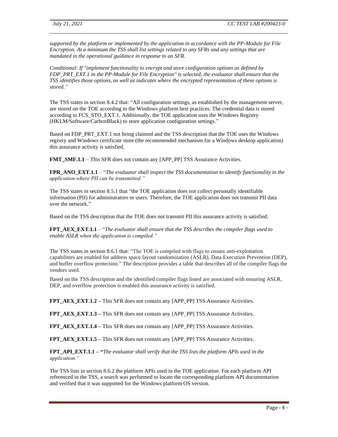*supported by the platform or implemented by the application in accordance with the PP-Module for File Encryption. At a minimum the TSS shall list settings related to any SFRs and any settings that are mandated in the operational guidance in response to an SFR.* 

*Conditional: If "implement functionality to encrypt and store configuration options as defined by FDP\_PRT\_EXT.1 in the PP-Module for File Encryption" is selected, the evaluator shall ensure that the TSS identifies those options, as well as indicates where the encrypted representation of these options is stored."*

The TSS states in section 8.4.2 that: "All configuration settings, as established by the management server, are stored on the TOE according to the Windows platform best practices. The credential data is stored according to FCS\_STO\_EXT.1. Additionally, the TOE application uses the Windows Registry (HKLM/Software/CarbonBlack) to store application configuration settings."

Based on FDP\_PRT\_EXT.1 not being claimed and the TSS description that the TOE uses the Windows registry and Windows certificate store (the recommended mechanism for a Windows desktop application) this assurance activity is satisfied.

**FMT\_SMF.1.1** – This SFR does not contain any [APP\_PP] TSS Assurance Activities.

**FPR\_ANO\_EXT.1.1** – "*The evaluator shall inspect the TSS documentation to identify functionality in the application where PII can be transmitted."*

The TSS states in section 8.5.1 that "the TOE application does not collect personally identifiable information (PII) for administrators or users. Therefore, the TOE application does not transmit PII data over the network."

Based on the TSS description that the TOE does not transmit PII this assurance activity is satisfied.

**FPT\_AEX\_EXT.1.1** – "*The evaluator shall ensure that the [TSS](https://www.niap-ccevs.org/MMO/PP/-429-/#abbr_TSS) describes the compiler flags used to enable [ASLR](https://www.niap-ccevs.org/MMO/PP/-429-/#abbr_ASLR) when the application is compiled."*

The TSS states in section 8.6.1 that: "The TOE is compiled with flags to ensure anti-exploitation capabilities are enabled for address space layout randomization (ASLR), Data Execution Prevention (DEP), and buffer overflow protection." The description provides a table that describes all of the compiler flags the vendors used.

Based on the TSS description and the identified compiler flags listed are associated with ensuring ASLR, DEP, and overflow protection is enabled this assurance activity is satisfied.

**FPT\_AEX\_EXT.1.2** – This SFR does not contain any [APP\_PP] TSS Assurance Activities.

**FPT\_AEX\_EXT.1.3 –** This SFR does not contain any [APP\_PP] TSS Assurance Activities.

**FPT\_AEX\_EXT.1.4 –** This SFR does not contain any [APP\_PP] TSS Assurance Activities.

**FPT\_AEX\_EXT.1.5 –** This SFR does not contain any [APP\_PP] TSS Assurance Activities.

**FPT\_API\_EXT.1.1 – "***The evaluator shall verify that the TSS lists the platform [APIs](https://www.niap-ccevs.org/MMO/PP/-429-/#abbr_API) used in the application."*

The TSS lists in section 8.6.2 the platform APIs used in the TOE application. For each platform API referenced in the TSS, a search was performed to locate the corresponding platform API documentation and verified that it was supported for the Windows platform OS version.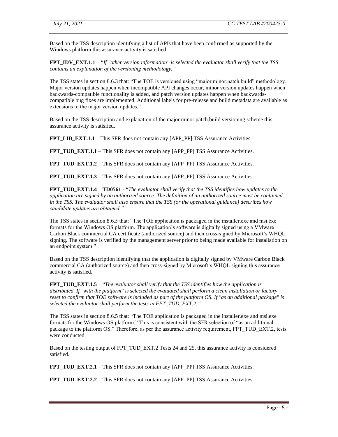Based on the TSS description identifying a list of APIs that have been confirmed as supported by the Windows platform this assurance activity is satisfied.

**FPT\_IDV\_EXT.1.1** – "*If "other version information" is selected the evaluator shall verify that the TSS contains an explanation of the versioning methodology."*

The TSS states in section 8.6.3 that: "The TOE is versioned using "major.minor.patch.build" methodology. Major version updates happen when incompatible API changes occur, minor version updates happen when backwards-compatible functionality is added, and patch version updates happen when backwardscompatible bug fixes are implemented. Additional labels for pre-release and build metadata are available as extensions to the major version updates."

Based on the TSS description and explanation of the major.minor.patch.build versioning scheme this assurance activity is satisfied.

**FPT\_LIB\_EXT.1.1** – This SFR does not contain any [APP\_PP] TSS Assurance Activities.

**FPT** TUD EXT.1.1 – This SFR does not contain any [APP\_PP] TSS Assurance Activities.

**FPT\_TUD\_EXT.1.2** – This SFR does not contain any [APP\_PP] TSS Assurance Activities.

**FPT** TUD EXT.1.3 – This SFR does not contain any [APP\_PP] TSS Assurance Activities.

**FPT\_TUD\_EXT.1.4 – TD0561 -** "*The evaluator shall verify that the TSS identifies how updates to the application are signed by an authorized source. The definition of an authorized source must be contained in the TSS. The evaluator shall also ensure that the TSS (or the operational guidance) describes how candidate updates are obtained."*

The TSS states in section 8.6.5 that: "The TOE application is packaged in the installer.exe and msi.exe formats for the Windows OS platform. The application's software is digitally signed using a VMware Carbon Black commercial CA certificate (authorized source) and then cross-signed by Microsoft's WHQL signing. The software is verified by the management server prior to being made available for installation on an endpoint system."

Based on the TSS description identifying that the application is digitally signed by VMware Carbon Black commercial CA (authorized source) and then cross-signed by Microsoft's WHQL signing this assurance activity is satisfied.

**FPT\_TUD\_EXT.1.5** – "*The evaluator shall verify that the TSS identifies how the application is distributed. If "with the platform" is selected the evaluated shall perform a clean installation or factory reset to confirm that TOE software is included as part of the platform OS. If "as an additional package" is selected the evaluator shall perform the tests in [FPT\\_TUD\\_EXT.2."](https://www.niap-ccevs.org/MMO/PP/-429-/#FPT_TUD_EXT.2)*

The TSS states in section 8.6.5 that: "The TOE application is packaged in the installer.exe and msi.exe formats for the Windows OS platform." This is consistent with the SFR selection of "as an additional package to the platform OS." Therefore, as per the assurance activity requirement, FPT\_TUD\_EXT.2, tests were conducted.

Based on the testing output of FPT TUD EXT.2 Tests 24 and 25, this assurance activity is considered satisfied.

**FPT** TUD **EXT.2.1** – This SFR does not contain any [APP\_PP] TSS Assurance Activities.

**FPT\_TUD\_EXT.2.2** – This SFR does not contain any [APP\_PP] TSS Assurance Activities.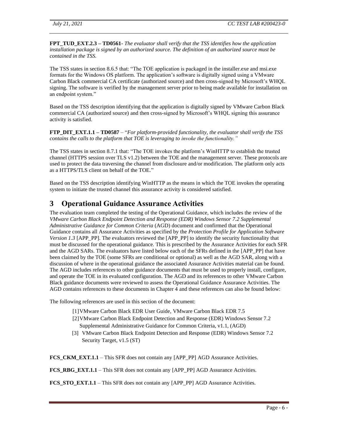**FPT\_TUD\_EXT.2.3 – TD0561-** *The evaluator shall verify that the TSS identifies how the application installation package is signed by an authorized source. The definition of an authorized source must be contained in the TSS.*

The TSS states in section 8.6.5 that: "The TOE application is packaged in the installer.exe and msi.exe formats for the Windows OS platform. The application's software is digitally signed using a VMware Carbon Black commercial CA certificate (authorized source) and then cross-signed by Microsoft's WHQL signing. The software is verified by the management server prior to being made available for installation on an endpoint system."

Based on the TSS description identifying that the application is digitally signed by VMware Carbon Black commercial CA (authorized source) and then cross-signed by Microsoft's WHQL signing this assurance activity is satisfied.

**FTP\_DIT\_EXT.1.1 – TD0587** – "*For platform-provided functionality, the evaluator shall verify the TSS contains the calls to the platform that TOE is leveraging to invoke the functionality."*

The TSS states in section 8.7.1 that: "The TOE invokes the platform's WinHTTP to establish the trusted channel (HTTPS session over TLS v1.2) between the TOE and the management server. These protocols are used to protect the data traversing the channel from disclosure and/or modification. The platform only acts as a HTTPS/TLS client on behalf of the TOE."

Based on the TSS description identifying WinHTTP as the means in which the TOE invokes the operating system to initiate the trusted channel this assurance activity is considered satisfied.

## <span id="page-8-0"></span>**3 Operational Guidance Assurance Activities**

The evaluation team completed the testing of the Operational Guidance, which includes the review of the *VMware Carbon Black Endpoint Detection and Response (EDR) Windows Sensor 7.2 Supplemental Administrative Guidance for Common Criteria* (AGD) document and confirmed that the Operational Guidance contains all Assurance Activities as specified by the *Protection Profile for Application Software Version 1.3* [APP\_PP]. The evaluators reviewed the [APP\_PP] to identify the security functionality that must be discussed for the operational guidance. This is prescribed by the Assurance Activities for each SFR and the AGD SARs. The evaluators have listed below each of the SFRs defined in the [APP\_PP] that have been claimed by the TOE (some SFRs are conditional or optional) as well as the AGD SAR, along with a discussion of where in the operational guidance the associated Assurance Activities material can be found. The AGD includes references to other guidance documents that must be used to properly install, configure, and operate the TOE in its evaluated configuration. The AGD and its references to other VMware Carbon Black guidance documents were reviewed to assess the Operational Guidance Assurance Activities. The AGD contains references to these documents in Chapter 4 and these references can also be found below:

The following references are used in this section of the document:

- [1]VMware Carbon Black EDR User Guide, VMware Carbon Black EDR 7.5
- [2]VMware Carbon Black Endpoint Detection and Response (EDR) Windows Sensor 7.2 Supplemental Administrative Guidance for Common Criteria, v1.1, (AGD)
- [3] VMware Carbon Black Endpoint Detection and Response (EDR) Windows Sensor 7.2 Security Target, v1.5 (ST)

**FCS\_CKM\_EXT.1.1** – This SFR does not contain any [APP\_PP] AGD Assurance Activities.

**FCS\_RBG\_EXT.1.1** – This SFR does not contain any [APP\_PP] AGD Assurance Activities.

**FCS\_STO\_EXT.1.1** – This SFR does not contain any [APP\_PP] AGD Assurance Activities.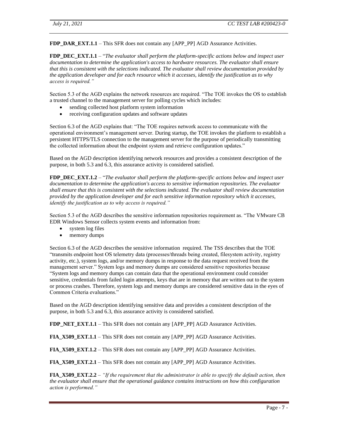**FDP\_DAR\_EXT.1.1** – This SFR does not contain any [APP\_PP] AGD Assurance Activities.

**FDP\_DEC\_EXT.1.1** – "*The evaluator shall perform the platform-specific actions below and inspect user documentation to determine the application's access to hardware resources. The evaluator shall ensure that this is consistent with the selections indicated. The evaluator shall review documentation provided by the application developer and for each resource which it accesses, identify the justification as to why access is required."*

Section 5.3 of the AGD explains the network resources are required. "The TOE invokes the OS to establish a trusted channel to the management server for polling cycles which includes:

- sending collected host platform system information
- receiving configuration updates and software updates

Section 6.3 of the AGD explains that: "The TOE requires network access to communicate with the operational environment's management server. During startup, the TOE invokes the platform to establish a persistent HTTPS/TLS connection to the management server for the purpose of periodically transmitting the collected information about the endpoint system and retrieve configuration updates."

Based on the AGD description identifying network resources and provides a consistent description of the purpose, in both 5.3 and 6.3, this assurance activity is considered satisfied.

**FDP\_DEC\_EXT.1.2** – "*The evaluator shall perform the platform-specific actions below and inspect user documentation to determine the application's access to sensitive information repositories. The evaluator shall ensure that this is consistent with the selections indicated. The evaluator shall review documentation provided by the application developer and for each sensitive information repository which it accesses, identify the justification as to why access is required."*

Section 5.3 of the AGD describes the sensitive information repositories requirement as. "The VMware CB EDR Windows Sensor collects system events and information from:

- system log files
- memory dumps

Section 6.3 of the AGD describes the sensitive information required. The TSS describes that the TOE "transmits endpoint host OS telemetry data (processes/threads being created, filesystem activity, registry activity, etc.), system logs, and/or memory dumps in response to the data request received from the management server." System logs and memory dumps are considered sensitive repositories because "System logs and memory dumps can contain data that the operational environment could consider sensitive, credentials from failed login attempts, keys that are in memory that are written out to the system or process crashes. Therefore, system logs and memory dumps are considered sensitive data in the eyes of Common Criteria evaluations."

Based on the AGD description identifying sensitive data and provides a consistent description of the purpose, in both 5.3 and 6.3, this assurance activity is considered satisfied.

**FDP\_NET\_EXT.1.1** – This SFR does not contain any [APP\_PP] AGD Assurance Activities.

**FIA\_X509\_EXT.1.1** – This SFR does not contain any [APP\_PP] AGD Assurance Activities.

**FIA\_X509\_EXT.1.2** – This SFR does not contain any [APP\_PP] AGD Assurance Activities.

**FIA\_X509\_EXT.2.1** – This SFR does not contain any [APP\_PP] AGD Assurance Activities.

**FIA\_X509\_EXT.2.2** – *"If the requirement that the administrator is able to specify the default action, then the evaluator shall ensure that the operational guidance contains instructions on how this configuration action is performed."*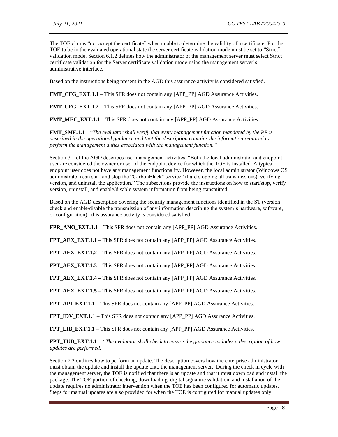The TOE claims "not accept the certificate" when unable to determine the validity of a certificate. For the TOE to be in the evaluated operational state the server certificate validation mode must be set to "Strict" validation mode. Section 6.1.2 defines how the administrator of the management server must select Strict certificate validation for the Server certificate validation mode using the management server's administrative interface.

Based on the instructions being present in the AGD this assurance activity is considered satisfied.

**FMT\_CFG\_EXT.1.1** – This SFR does not contain any [APP\_PP] AGD Assurance Activities.

**FMT\_CFG\_EXT.1.2** – This SFR does not contain any [APP\_PP] AGD Assurance Activities.

**FMT\_MEC\_EXT.1.1** – This SFR does not contain any [APP\_PP] AGD Assurance Activities.

**FMT\_SMF.1.1** – "*The evaluator shall verify that every management function mandated by the PP is described in the operational guidance and that the description contains the information required to perform the management duties associated with the management function."*

Section 7.1 of the AGD describes user management activities. "Both the local administrator and endpoint user are considered the owner or user of the endpoint device for which the TOE is installed. A typical endpoint user does not have any management functionality. However, the local administrator (Windows OS administrator) can start and stop the "CarbonBlack" service" (hard stopping all transmissions), verifying version, and uninstall the application." The subsections provide the instructions on how to start/stop, verify version, uninstall, and enable/disable system information from being transmitted.

Based on the AGD description covering the security management functions identified in the ST (version check and enable/disable the transmission of any information describing the system's hardware, software, or configuration), this assurance activity is considered satisfied.

**FPR\_ANO\_EXT.1.1** – This SFR does not contain any [APP\_PP] AGD Assurance Activities.

**FPT\_AEX\_EXT.1.1** – This SFR does not contain any [APP\_PP] AGD Assurance Activities.

**FPT\_AEX\_EXT.1.2 –** This SFR does not contain any [APP\_PP] AGD Assurance Activities.

**FPT\_AEX\_EXT.1.3 –** This SFR does not contain any [APP\_PP] AGD Assurance Activities.

FPT\_AEX\_EXT.1.4 – This SFR does not contain any [APP\_PP] AGD Assurance Activities.

**FPT\_AEX\_EXT.1.5 –** This SFR does not contain any [APP\_PP] AGD Assurance Activities.

**FPT\_API\_EXT.1.1 –** This SFR does not contain any [APP\_PP] AGD Assurance Activities.

**FPT\_IDV\_EXT.1.1** – This SFR does not contain any [APP\_PP] AGD Assurance Activities.

**FPT\_LIB\_EXT.1.1** – This SFR does not contain any [APP\_PP] AGD Assurance Activities.

**FPT\_TUD\_EXT.1.1** – *"The evaluator shall check to ensure the guidance includes a description of how updates are performed."*

Section 7.2 outlines how to perform an update. The description covers how the enterprise administrator must obtain the update and install the update onto the management server. During the check in cycle with the management server, the TOE is notified that there is an update and that it must download and install the package. The TOE portion of checking, downloading, digital signature validation, and installation of the update requires no administrator intervention when the TOE has been configured for automatic updates. Steps for manual updates are also provided for when the TOE is configured for manual updates only.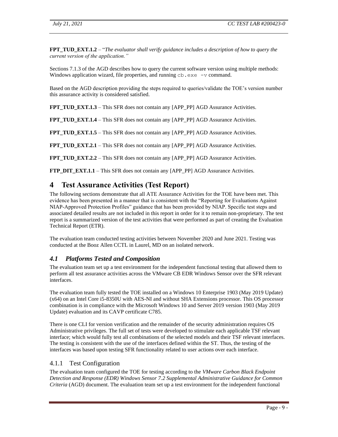**FPT\_TUD\_EXT.1.2** – "*The evaluator shall verify guidance includes a description of how to query the current version of the application."*

Sections 7.1.3 of the AGD describes how to query the current software version using multiple methods: Windows application wizard, file properties, and running  $cb$ . exe  $-v$  command.

Based on the AGD description providing the steps required to queries/validate the TOE's version number this assurance activity is considered satisfied.

**FPT\_TUD\_EXT.1.3** – This SFR does not contain any [APP\_PP] AGD Assurance Activities.

**FPT\_TUD\_EXT.1.4** – This SFR does not contain any [APP\_PP] AGD Assurance Activities.

**FPT\_TUD\_EXT.1.5** – This SFR does not contain any [APP\_PP] AGD Assurance Activities.

**FPT\_TUD\_EXT.2.1** – This SFR does not contain any [APP\_PP] AGD Assurance Activities.

**FPT\_TUD\_EXT.2.2** – This SFR does not contain any [APP\_PP] AGD Assurance Activities.

<span id="page-11-0"></span>**FTP\_DIT\_EXT.1.1** – This SFR does not contain any [APP\_PP] AGD Assurance Activities.

#### **4 Test Assurance Activities (Test Report)**

The following sections demonstrate that all ATE Assurance Activities for the TOE have been met. This evidence has been presented in a manner that is consistent with the "Reporting for Evaluations Against NIAP-Approved Protection Profiles" guidance that has been provided by NIAP. Specific test steps and associated detailed results are not included in this report in order for it to remain non-proprietary. The test report is a summarized version of the test activities that were performed as part of creating the Evaluation Technical Report (ETR).

The evaluation team conducted testing activities between November 2020 and June 2021. Testing was conducted at the Booz Allen CCTL in Laurel, MD on an isolated network.

#### <span id="page-11-1"></span>*4.1 Platforms Tested and Composition*

The evaluation team set up a test environment for the independent functional testing that allowed them to perform all test assurance activities across the VMware CB EDR Windows Sensor over the SFR relevant interfaces.

The evaluation team fully tested the TOE installed on a Windows 10 Enterprise 1903 (May 2019 Update) (x64) on an Intel Core i5-8350U with AES-NI and without SHA Extensions processor. This OS processor combination is in compliance with the Microsoft Windows 10 and Server 2019 version 1903 (May 2019 Update) evaluation and its CAVP certificate C785.

There is one CLI for version verification and the remainder of the security administration requires OS Administrative privileges. The full set of tests were developed to stimulate each applicable TSF relevant interface; which would fully test all combinations of the selected models and their TSF relevant interfaces. The testing is consistent with the use of the interfaces defined within the ST. Thus, the testing of the interfaces was based upon testing SFR functionality related to user actions over each interface.

#### <span id="page-11-2"></span>4.1.1 Test Configuration

The evaluation team configured the TOE for testing according to the *VMware Carbon Black Endpoint Detection and Response (EDR) Windows Sensor 7.2 Supplemental Administrative Guidance for Common Criteria* (AGD) document. The evaluation team set up a test environment for the independent functional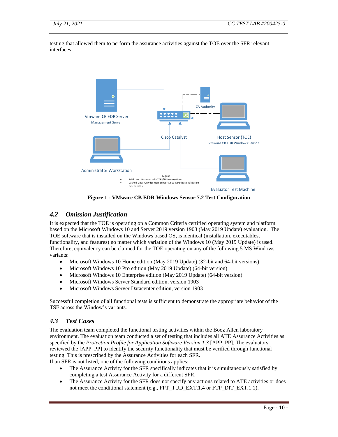testing that allowed them to perform the assurance activities against the TOE over the SFR relevant interfaces.



**Figure 1 - VMware CB EDR Windows Sensor 7.2 Test Configuration**

#### <span id="page-12-0"></span>*4.2 Omission Justification*

It is expected that the TOE is operating on a Common Criteria certified operating system and platform based on the Microsoft Windows 10 and Server 2019 version 1903 (May 2019 Update) evaluation. The TOE software that is installed on the Windows based OS, is identical (installation, executables, functionality, and features) no matter which variation of the Windows 10 (May 2019 Update) is used. Therefore, equivalency can be claimed for the TOE operating on any of the following 5 MS Windows variants:

- Microsoft Windows 10 Home edition (May 2019 Update) (32-bit and 64-bit versions)
- Microsoft Windows 10 Pro edition (May 2019 Update) (64-bit version)
- Microsoft Windows 10 Enterprise edition (May 2019 Update) (64-bit version)
- Microsoft Windows Server Standard edition, version 1903
- Microsoft Windows Server Datacenter edition, version 1903

Successful completion of all functional tests is sufficient to demonstrate the appropriate behavior of the TSF across the Window's variants.

#### <span id="page-12-1"></span>*4.3 Test Cases*

The evaluation team completed the functional testing activities within the Booz Allen laboratory environment. The evaluation team conducted a set of testing that includes all ATE Assurance Activities as specified by the *Protection Profile for Application Software Version 1.3* [APP\_PP]. The evaluators reviewed the [APP\_PP] to identify the security functionality that must be verified through functional testing. This is prescribed by the Assurance Activities for each SFR.

If an SFR is not listed, one of the following conditions applies:

- The Assurance Activity for the SFR specifically indicates that it is simultaneously satisfied by completing a test Assurance Activity for a different SFR.
- The Assurance Activity for the SFR does not specify any actions related to ATE activities or does not meet the conditional statement (e.g., FPT\_TUD\_EXT.1.4 or FTP\_DIT\_EXT.1.1).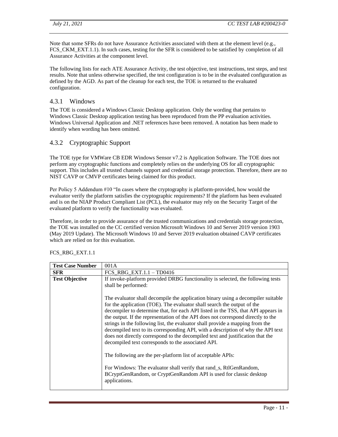Note that some SFRs do not have Assurance Activities associated with them at the element level (e.g., FCS\_CKM\_EXT.1.1). In such cases, testing for the SFR is considered to be satisfied by completion of all Assurance Activities at the component level.

The following lists for each ATE Assurance Activity, the test objective, test instructions, test steps, and test results. Note that unless otherwise specified, the test configuration is to be in the evaluated configuration as defined by the AGD. As part of the cleanup for each test, the TOE is returned to the evaluated configuration.

#### <span id="page-13-0"></span>4.3.1 Windows

The TOE is considered a Windows Classic Desktop application. Only the wording that pertains to Windows Classic Desktop application testing has been reproduced from the PP evaluation activities. Windows Universal Application and .NET references have been removed. A notation has been made to identify when wording has been omitted.

#### <span id="page-13-1"></span>4.3.2 Cryptographic Support

The TOE type for VMWare CB EDR Windows Sensor v7.2 is Application Software. The TOE does not perform any cryptographic functions and completely relies on the underlying OS for all cryptographic support. This includes all trusted channels support and credential storage protection. Therefore, there are no NIST CAVP or CMVP certificates being claimed for this product.

Per Policy 5 Addendum #10 "In cases where the cryptography is platform-provided, how would the evaluator verify the platform satisfies the cryptographic requirements? If the platform has been evaluated and is on the NIAP Product Compliant List (PCL), the evaluator may rely on the Security Target of the evaluated platform to verify the functionality was evaluated.

Therefore, in order to provide assurance of the trusted communications and credentials storage protection, the TOE was installed on the CC certified version Microsoft Windows 10 and Server 2019 version 1903 (May 2019 Update). The Microsoft Windows 10 and Server 2019 evaluation obtained CAVP certificates which are relied on for this evaluation.

| <b>Test Case Number</b> | 001A                                                                                                                                                                                                                                                                                                                                                                                                                                                                                                                                                                                                                                                                                                                                                                                                                                                                          |
|-------------------------|-------------------------------------------------------------------------------------------------------------------------------------------------------------------------------------------------------------------------------------------------------------------------------------------------------------------------------------------------------------------------------------------------------------------------------------------------------------------------------------------------------------------------------------------------------------------------------------------------------------------------------------------------------------------------------------------------------------------------------------------------------------------------------------------------------------------------------------------------------------------------------|
| <b>SFR</b>              | FCS RBG EXT. $1.1 - T$ D0416                                                                                                                                                                                                                                                                                                                                                                                                                                                                                                                                                                                                                                                                                                                                                                                                                                                  |
| <b>Test Objective</b>   | If invoke-platform provided DRBG functionality is selected, the following tests<br>shall be performed:                                                                                                                                                                                                                                                                                                                                                                                                                                                                                                                                                                                                                                                                                                                                                                        |
|                         | The evaluator shall decompile the application binary using a decompiler suitable<br>for the application (TOE). The evaluator shall search the output of the<br>decompiler to determine that, for each API listed in the TSS, that API appears in<br>the output. If the representation of the API does not correspond directly to the<br>strings in the following list, the evaluator shall provide a mapping from the<br>decompiled text to its corresponding API, with a description of why the API text<br>does not directly correspond to the decompiled text and justification that the<br>decompiled text corresponds to the associated API.<br>The following are the per-platform list of acceptable APIs:<br>For Windows: The evaluator shall verify that rand_s, RtlGenRandom,<br>BCryptGenRandom, or CryptGenRandom API is used for classic desktop<br>applications. |

#### FCS\_RBG\_EXT.1.1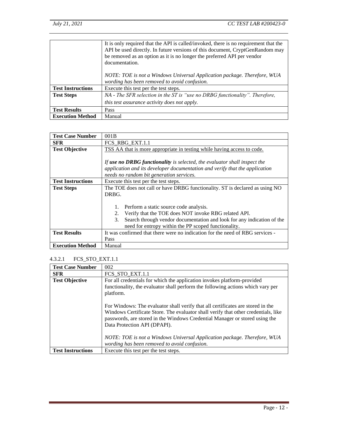|                          | It is only required that the API is called/invoked, there is no requirement that the<br>API be used directly. In future versions of this document, CryptGenRandom may<br>be removed as an option as it is no longer the preferred API per vendor<br>documentation.<br>NOTE: TOE is not a Windows Universal Application package. Therefore, WUA<br>wording has been removed to avoid confusion. |
|--------------------------|------------------------------------------------------------------------------------------------------------------------------------------------------------------------------------------------------------------------------------------------------------------------------------------------------------------------------------------------------------------------------------------------|
| <b>Test Instructions</b> | Execute this test per the test steps.                                                                                                                                                                                                                                                                                                                                                          |
| <b>Test Steps</b>        | NA - The SFR selection in the ST is "use no DRBG functionality". Therefore,                                                                                                                                                                                                                                                                                                                    |
|                          | this test assurance activity does not apply.                                                                                                                                                                                                                                                                                                                                                   |
| <b>Test Results</b>      | Pass                                                                                                                                                                                                                                                                                                                                                                                           |
| <b>Execution Method</b>  | Manual                                                                                                                                                                                                                                                                                                                                                                                         |

| <b>Test Case Number</b>  | 001B                                                                          |
|--------------------------|-------------------------------------------------------------------------------|
| <b>SFR</b>               | FCS RBG EXT.1.1                                                               |
| <b>Test Objective</b>    | TSS AA that is more appropriate in testing while having access to code.       |
|                          |                                                                               |
|                          | If use no DRBG functionality is selected, the evaluator shall inspect the     |
|                          | application and its developer documentation and verify that the application   |
|                          | needs no random bit generation services.                                      |
| <b>Test Instructions</b> | Execute this test per the test steps.                                         |
| <b>Test Steps</b>        | The TOE does not call or have DRBG functionality. ST is declared as using NO  |
|                          | DRBG.                                                                         |
|                          |                                                                               |
|                          | Perform a static source code analysis.<br>1.                                  |
|                          | Verify that the TOE does NOT invoke RBG related API.<br>2.                    |
|                          | Search through vendor documentation and look for any indication of the<br>3.  |
|                          | need for entropy within the PP scoped functionality.                          |
| <b>Test Results</b>      | It was confirmed that there were no indication for the need of RBG services - |
|                          | Pass                                                                          |
| <b>Execution Method</b>  | Manual                                                                        |

#### <span id="page-14-0"></span>4.3.2.1 FCS\_STO\_EXT.1.1

| <b>Test Case Number</b>  | 002                                                                                                                                                                                                                                                                                  |
|--------------------------|--------------------------------------------------------------------------------------------------------------------------------------------------------------------------------------------------------------------------------------------------------------------------------------|
| <b>SFR</b>               | FCS STO EXT.1.1                                                                                                                                                                                                                                                                      |
| <b>Test Objective</b>    | For all credentials for which the application invokes platform-provided<br>functionality, the evaluator shall perform the following actions which vary per<br>platform.                                                                                                              |
|                          | For Windows: The evaluator shall verify that all certificates are stored in the<br>Windows Certificate Store. The evaluator shall verify that other credentials, like<br>passwords, are stored in the Windows Credential Manager or stored using the<br>Data Protection API (DPAPI). |
|                          | NOTE: TOE is not a Windows Universal Application package. Therefore, WUA<br>wording has been removed to avoid confusion.                                                                                                                                                             |
| <b>Test Instructions</b> | Execute this test per the test steps.                                                                                                                                                                                                                                                |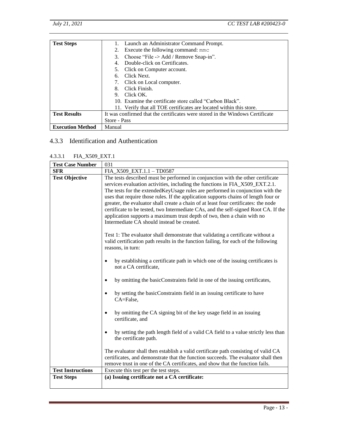| <b>Test Steps</b>       | 1. Launch an Administrator Command Prompt.                                    |
|-------------------------|-------------------------------------------------------------------------------|
|                         | Execute the following command: mmc<br>2.                                      |
|                         | Choose "File $\rightarrow$ Add / Remove Snap-in".<br>3.                       |
|                         | Double-click on Certificates.<br>4.                                           |
|                         | Click on Computer account.                                                    |
|                         | Click Next.                                                                   |
|                         | Click on Local computer.<br>7.                                                |
|                         | Click Finish.                                                                 |
|                         | Click OK.<br>9.                                                               |
|                         | 10. Examine the certificate store called "Carbon Black".                      |
|                         | 11. Verify that all TOE certificates are located within this store.           |
| <b>Test Results</b>     | It was confirmed that the certificates were stored in the Windows Certificate |
|                         | Store - Pass                                                                  |
| <b>Execution Method</b> | Manual                                                                        |

#### <span id="page-15-0"></span>4.3.3 Identification and Authentication

#### <span id="page-15-1"></span>4.3.3.1 FIA\_X509\_EXT.1

| <b>Test Case Number</b>  | 031                                                                                                                                                                                                                                                                                                                                                                                                                                                                                                                                                                                                                                               |  |
|--------------------------|---------------------------------------------------------------------------------------------------------------------------------------------------------------------------------------------------------------------------------------------------------------------------------------------------------------------------------------------------------------------------------------------------------------------------------------------------------------------------------------------------------------------------------------------------------------------------------------------------------------------------------------------------|--|
| <b>SFR</b>               | FIA_X509_EXT.1.1 - TD0587                                                                                                                                                                                                                                                                                                                                                                                                                                                                                                                                                                                                                         |  |
| <b>Test Objective</b>    | The tests described must be performed in conjunction with the other certificate<br>services evaluation activities, including the functions in FIA_X509_EXT.2.1.<br>The tests for the extended Key Usage rules are performed in conjunction with the<br>uses that require those rules. If the application supports chains of length four or<br>greater, the evaluator shall create a chain of at least four certificates: the node<br>certificate to be tested, two Intermediate CAs, and the self-signed Root CA. If the<br>application supports a maximum trust depth of two, then a chain with no<br>Intermediate CA should instead be created. |  |
|                          | Test 1: The evaluator shall demonstrate that validating a certificate without a<br>valid certification path results in the function failing, for each of the following<br>reasons, in turn:                                                                                                                                                                                                                                                                                                                                                                                                                                                       |  |
|                          | by establishing a certificate path in which one of the issuing certificates is<br>$\bullet$<br>not a CA certificate,                                                                                                                                                                                                                                                                                                                                                                                                                                                                                                                              |  |
|                          | by omitting the basicConstraints field in one of the issuing certificates,<br>$\bullet$                                                                                                                                                                                                                                                                                                                                                                                                                                                                                                                                                           |  |
|                          | by setting the basicConstraints field in an issuing certificate to have<br>$\bullet$<br>CA=False,                                                                                                                                                                                                                                                                                                                                                                                                                                                                                                                                                 |  |
|                          | by omitting the CA signing bit of the key usage field in an issuing<br>$\bullet$<br>certificate, and                                                                                                                                                                                                                                                                                                                                                                                                                                                                                                                                              |  |
|                          | by setting the path length field of a valid CA field to a value strictly less than<br>$\bullet$<br>the certificate path.                                                                                                                                                                                                                                                                                                                                                                                                                                                                                                                          |  |
|                          | The evaluator shall then establish a valid certificate path consisting of valid CA<br>certificates, and demonstrate that the function succeeds. The evaluator shall then<br>remove trust in one of the CA certificates, and show that the function fails.                                                                                                                                                                                                                                                                                                                                                                                         |  |
| <b>Test Instructions</b> | Execute this test per the test steps.                                                                                                                                                                                                                                                                                                                                                                                                                                                                                                                                                                                                             |  |
| <b>Test Steps</b>        | (a) Issuing certificate not a CA certificate:                                                                                                                                                                                                                                                                                                                                                                                                                                                                                                                                                                                                     |  |
|                          |                                                                                                                                                                                                                                                                                                                                                                                                                                                                                                                                                                                                                                                   |  |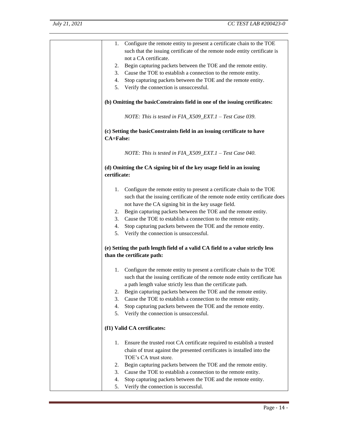| 1.               | Configure the remote entity to present a certificate chain to the TOE          |
|------------------|--------------------------------------------------------------------------------|
|                  | such that the issuing certificate of the remote node entity certificate is     |
|                  | not a CA certificate.                                                          |
| 2.               | Begin capturing packets between the TOE and the remote entity.                 |
| 3.               | Cause the TOE to establish a connection to the remote entity.                  |
| 4.               | Stop capturing packets between the TOE and the remote entity.                  |
|                  |                                                                                |
| 5.               | Verify the connection is unsuccessful.                                         |
|                  | (b) Omitting the basicConstraints field in one of the issuing certificates:    |
|                  |                                                                                |
|                  | NOTE: This is tested in $FIA\_X509\_EXT.1 - Test Case 039$ .                   |
| <b>CA=False:</b> | (c) Setting the basicConstraints field in an issuing certificate to have       |
|                  |                                                                                |
|                  | NOTE: This is tested in FIA_X509_EXT.1 - Test Case 040.                        |
|                  | (d) Omitting the CA signing bit of the key usage field in an issuing           |
| certificate:     |                                                                                |
|                  |                                                                                |
|                  | 1. Configure the remote entity to present a certificate chain to the TOE       |
|                  |                                                                                |
|                  | such that the issuing certificate of the remote node entity certificate does   |
|                  | not have the CA signing bit in the key usage field.                            |
| 2.               | Begin capturing packets between the TOE and the remote entity.                 |
| 3.               | Cause the TOE to establish a connection to the remote entity.                  |
| 4.               | Stop capturing packets between the TOE and the remote entity.                  |
| 5.               | Verify the connection is unsuccessful.                                         |
|                  |                                                                                |
|                  | (e) Setting the path length field of a valid CA field to a value strictly less |
|                  | than the certificate path:                                                     |
|                  |                                                                                |
|                  | 1. Configure the remote entity to present a certificate chain to the TOE       |
|                  | such that the issuing certificate of the remote node entity certificate has    |
|                  | a path length value strictly less than the certificate path.                   |
| 2.               | Begin capturing packets between the TOE and the remote entity.                 |
| 3.               | Cause the TOE to establish a connection to the remote entity.                  |
| 4.               | Stop capturing packets between the TOE and the remote entity.                  |
| 5.               | Verify the connection is unsuccessful.                                         |
|                  |                                                                                |
|                  | (f1) Valid CA certificates:                                                    |
| 1.               | Ensure the trusted root CA certificate required to establish a trusted         |
|                  | chain of trust against the presented certificates is installed into the        |
|                  | TOE's CA trust store.                                                          |
| 2.               | Begin capturing packets between the TOE and the remote entity.                 |
|                  |                                                                                |
| 3.               | Cause the TOE to establish a connection to the remote entity.                  |
| 4.               | Stop capturing packets between the TOE and the remote entity.                  |
| 5.               | Verify the connection is successful.                                           |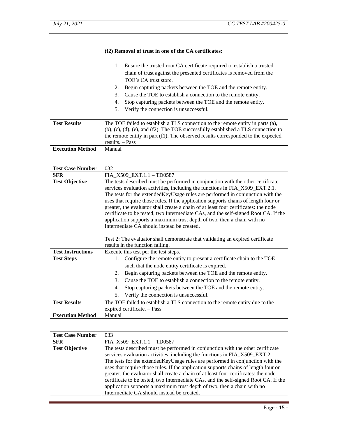|                         | (f2) Removal of trust in one of the CA certificates:                                                                                                                                                                                                                                                                                                                                                                                                 |  |
|-------------------------|------------------------------------------------------------------------------------------------------------------------------------------------------------------------------------------------------------------------------------------------------------------------------------------------------------------------------------------------------------------------------------------------------------------------------------------------------|--|
|                         | Ensure the trusted root CA certificate required to establish a trusted<br>1.<br>chain of trust against the presented certificates is removed from the<br>TOE's CA trust store.<br>Begin capturing packets between the TOE and the remote entity.<br>2.<br>Cause the TOE to establish a connection to the remote entity.<br>3.<br>Stop capturing packets between the TOE and the remote entity.<br>4.<br>Verify the connection is unsuccessful.<br>5. |  |
|                         |                                                                                                                                                                                                                                                                                                                                                                                                                                                      |  |
| <b>Test Results</b>     | The TOE failed to establish a TLS connection to the remote entity in parts (a),<br>$(b)$ , $(c)$ , $(d)$ , $(e)$ , and $(f2)$ . The TOE successfully established a TLS connection to<br>the remote entity in part (f1). The observed results corresponded to the expected<br>results. $-$ Pass                                                                                                                                                       |  |
| <b>Execution Method</b> | Manual                                                                                                                                                                                                                                                                                                                                                                                                                                               |  |

| <b>Test Case Number</b>  | 032                                                                                          |  |
|--------------------------|----------------------------------------------------------------------------------------------|--|
| <b>SFR</b>               | $FIA_X509_EXT.1.1-TD0587$                                                                    |  |
| <b>Test Objective</b>    | The tests described must be performed in conjunction with the other certificate              |  |
|                          | services evaluation activities, including the functions in FIA_X509_EXT.2.1.                 |  |
|                          | The tests for the extended Key Usage rules are performed in conjunction with the             |  |
|                          | uses that require those rules. If the application supports chains of length four or          |  |
|                          | greater, the evaluator shall create a chain of at least four certificates: the node          |  |
|                          | certificate to be tested, two Intermediate CAs, and the self-signed Root CA. If the          |  |
|                          | application supports a maximum trust depth of two, then a chain with no                      |  |
|                          | Intermediate CA should instead be created.                                                   |  |
|                          |                                                                                              |  |
|                          | Test 2: The evaluator shall demonstrate that validating an expired certificate               |  |
|                          | results in the function failing.                                                             |  |
| <b>Test Instructions</b> | Execute this test per the test steps.                                                        |  |
| <b>Test Steps</b>        | Configure the remote entity to present a certificate chain to the TOE<br>1.                  |  |
|                          | such that the node entity certificate is expired.                                            |  |
|                          | Begin capturing packets between the TOE and the remote entity.<br>2.                         |  |
|                          | $\mathcal{F}_{\mathcal{L}}$<br>Cause the TOE to establish a connection to the remote entity. |  |
|                          | Stop capturing packets between the TOE and the remote entity.<br>4.                          |  |
|                          | Verify the connection is unsuccessful.<br>.5.                                                |  |
| <b>Test Results</b>      | The TOE failed to establish a TLS connection to the remote entity due to the                 |  |
|                          | expired certificate. - Pass                                                                  |  |
| <b>Execution Method</b>  | Manual                                                                                       |  |

| <b>Test Case Number</b> | 033                                                                                 |
|-------------------------|-------------------------------------------------------------------------------------|
| <b>SFR</b>              | FIA X509 EXT.1.1 - TD0587                                                           |
| <b>Test Objective</b>   | The tests described must be performed in conjunction with the other certificate     |
|                         | services evaluation activities, including the functions in FIA_X509_EXT.2.1.        |
|                         | The tests for the extended Key Usage rules are performed in conjunction with the    |
|                         | uses that require those rules. If the application supports chains of length four or |
|                         | greater, the evaluator shall create a chain of at least four certificates: the node |
|                         | certificate to be tested, two Intermediate CAs, and the self-signed Root CA. If the |
|                         | application supports a maximum trust depth of two, then a chain with no             |
|                         | Intermediate CA should instead be created.                                          |

J,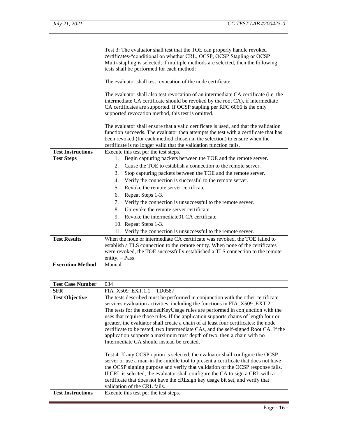|                          | Test 3: The evaluator shall test that the TOE can properly handle revoked<br>certificates-"conditional on whether CRL, OCSP, OCSP Stapling or OCSP<br>Multi-stapling is selected; if multiple methods are selected, then the following<br>tests shall be performed for each method:                      |
|--------------------------|----------------------------------------------------------------------------------------------------------------------------------------------------------------------------------------------------------------------------------------------------------------------------------------------------------|
|                          | The evaluator shall test revocation of the node certificate.                                                                                                                                                                                                                                             |
|                          | The evaluator shall also test revocation of an intermediate CA certificate (i.e. the<br>intermediate CA certificate should be revoked by the root CA), if intermediate<br>CA certificates are supported. If OCSP stapling per RFC 6066 is the only<br>supported revocation method, this test is omitted. |
|                          | The evaluator shall ensure that a valid certificate is used, and that the validation                                                                                                                                                                                                                     |
|                          | function succeeds. The evaluator then attempts the test with a certificate that has                                                                                                                                                                                                                      |
|                          | been revoked (for each method chosen in the selection) to ensure when the                                                                                                                                                                                                                                |
| <b>Test Instructions</b> | certificate is no longer valid that the validation function fails.                                                                                                                                                                                                                                       |
| <b>Test Steps</b>        | Execute this test per the test steps.<br>Begin capturing packets between the TOE and the remote server.<br>1.                                                                                                                                                                                            |
|                          | Cause the TOE to establish a connection to the remote server.<br>2.                                                                                                                                                                                                                                      |
|                          |                                                                                                                                                                                                                                                                                                          |
|                          | 3.<br>Stop capturing packets between the TOE and the remote server.                                                                                                                                                                                                                                      |
|                          | 4.<br>Verify the connection is successful to the remote server.                                                                                                                                                                                                                                          |
|                          | Revoke the remote server certificate.<br>5.                                                                                                                                                                                                                                                              |
|                          | Repeat Steps 1-3.<br>6.                                                                                                                                                                                                                                                                                  |
|                          | Verify the connection is unsuccessful to the remote server.<br>7.                                                                                                                                                                                                                                        |
|                          | Unrevoke the remote server certificate.<br>8.                                                                                                                                                                                                                                                            |
|                          | 9. Revoke the intermediate 01 CA certificate.                                                                                                                                                                                                                                                            |
|                          | 10. Repeat Steps 1-3.                                                                                                                                                                                                                                                                                    |
|                          | 11. Verify the connection is unsuccessful to the remote server.                                                                                                                                                                                                                                          |
| <b>Test Results</b>      | When the node or intermediate CA certificate was revoked, the TOE failed to                                                                                                                                                                                                                              |
|                          | establish a TLS connection to the remote entity. When none of the certificates                                                                                                                                                                                                                           |
|                          | were revoked, the TOE successfully established a TLS connection to the remote                                                                                                                                                                                                                            |
|                          | $entity. - Pass$                                                                                                                                                                                                                                                                                         |
| <b>Execution Method</b>  | Manual                                                                                                                                                                                                                                                                                                   |

| <b>Test Case Number</b>  | 034                                                                                                                                                                                                                                                                                                                                                                                                                                                                                                                                                                                                                                               |
|--------------------------|---------------------------------------------------------------------------------------------------------------------------------------------------------------------------------------------------------------------------------------------------------------------------------------------------------------------------------------------------------------------------------------------------------------------------------------------------------------------------------------------------------------------------------------------------------------------------------------------------------------------------------------------------|
| <b>SFR</b>               | FIA_X509_EXT.1.1 - TD0587                                                                                                                                                                                                                                                                                                                                                                                                                                                                                                                                                                                                                         |
| <b>Test Objective</b>    | The tests described must be performed in conjunction with the other certificate<br>services evaluation activities, including the functions in FIA_X509_EXT.2.1.<br>The tests for the extended Key Usage rules are performed in conjunction with the<br>uses that require those rules. If the application supports chains of length four or<br>greater, the evaluator shall create a chain of at least four certificates: the node<br>certificate to be tested, two Intermediate CAs, and the self-signed Root CA. If the<br>application supports a maximum trust depth of two, then a chain with no<br>Intermediate CA should instead be created. |
|                          | Test 4: If any OCSP option is selected, the evaluator shall configure the OCSP<br>server or use a man-in-the-middle tool to present a certificate that does not have<br>the OCSP signing purpose and verify that validation of the OCSP response fails.<br>If CRL is selected, the evaluator shall configure the CA to sign a CRL with a<br>certificate that does not have the cRLsign key usage bit set, and verify that<br>validation of the CRL fails.                                                                                                                                                                                         |
| <b>Test Instructions</b> | Execute this test per the test steps.                                                                                                                                                                                                                                                                                                                                                                                                                                                                                                                                                                                                             |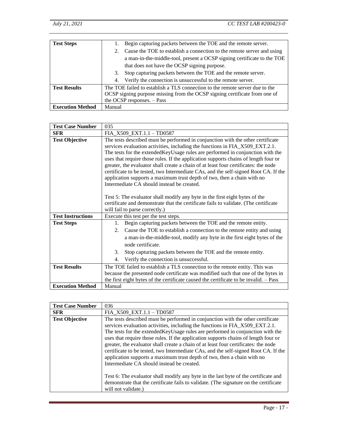| <b>Test Steps</b>       |        | Begin capturing packets between the TOE and the remote server.               |
|-------------------------|--------|------------------------------------------------------------------------------|
|                         | 2.     | Cause the TOE to establish a connection to the remote server and using       |
|                         |        | a man-in-the-middle-tool, present a OCSP signing certificate to the TOE      |
|                         |        | that does not have the OCSP signing purpose.                                 |
|                         | 3.     | Stop capturing packets between the TOE and the remote server.                |
|                         |        | 4. Verify the connection is unsuccessful to the remote server.               |
| <b>Test Results</b>     |        | The TOE failed to establish a TLS connection to the remote server due to the |
|                         |        | OCSP signing purpose missing from the OCSP signing certificate from one of   |
|                         |        | the OCSP responses. - Pass                                                   |
| <b>Execution Method</b> | Manual |                                                                              |

| <b>Test Case Number</b>  | 035                                                                                                                                                                                                                                                                                                                                                                                                                                                                                                                                                                                                                                                                                                                                                                                                                                                        |
|--------------------------|------------------------------------------------------------------------------------------------------------------------------------------------------------------------------------------------------------------------------------------------------------------------------------------------------------------------------------------------------------------------------------------------------------------------------------------------------------------------------------------------------------------------------------------------------------------------------------------------------------------------------------------------------------------------------------------------------------------------------------------------------------------------------------------------------------------------------------------------------------|
| <b>SFR</b>               | FIA_X509_EXT.1.1 - TD0587                                                                                                                                                                                                                                                                                                                                                                                                                                                                                                                                                                                                                                                                                                                                                                                                                                  |
| <b>Test Objective</b>    | The tests described must be performed in conjunction with the other certificate<br>services evaluation activities, including the functions in FIA_X509_EXT.2.1.<br>The tests for the extended Key Usage rules are performed in conjunction with the<br>uses that require those rules. If the application supports chains of length four or<br>greater, the evaluator shall create a chain of at least four certificates: the node<br>certificate to be tested, two Intermediate CAs, and the self-signed Root CA. If the<br>application supports a maximum trust depth of two, then a chain with no<br>Intermediate CA should instead be created.<br>Test 5: The evaluator shall modify any byte in the first eight bytes of the<br>certificate and demonstrate that the certificate fails to validate. (The certificate<br>will fail to parse correctly.) |
| <b>Test Instructions</b> | Execute this test per the test steps.                                                                                                                                                                                                                                                                                                                                                                                                                                                                                                                                                                                                                                                                                                                                                                                                                      |
| <b>Test Steps</b>        | Begin capturing packets between the TOE and the remote entity.<br>1.                                                                                                                                                                                                                                                                                                                                                                                                                                                                                                                                                                                                                                                                                                                                                                                       |
|                          | Cause the TOE to establish a connection to the remote entity and using<br>$2^{+}$                                                                                                                                                                                                                                                                                                                                                                                                                                                                                                                                                                                                                                                                                                                                                                          |
|                          | a man-in-the-middle-tool, modify any byte in the first eight bytes of the<br>node certificate.                                                                                                                                                                                                                                                                                                                                                                                                                                                                                                                                                                                                                                                                                                                                                             |
|                          | Stop capturing packets between the TOE and the remote entity.<br>3.                                                                                                                                                                                                                                                                                                                                                                                                                                                                                                                                                                                                                                                                                                                                                                                        |
|                          | Verify the connection is unsuccessful.<br>4.                                                                                                                                                                                                                                                                                                                                                                                                                                                                                                                                                                                                                                                                                                                                                                                                               |
| <b>Test Results</b>      | The TOE failed to establish a TLS connection to the remote entity. This was                                                                                                                                                                                                                                                                                                                                                                                                                                                                                                                                                                                                                                                                                                                                                                                |
|                          | because the presented node certificate was modified such that one of the bytes in                                                                                                                                                                                                                                                                                                                                                                                                                                                                                                                                                                                                                                                                                                                                                                          |
|                          | the first eight bytes of the certificate caused the certificate to be invalid. - Pass                                                                                                                                                                                                                                                                                                                                                                                                                                                                                                                                                                                                                                                                                                                                                                      |
| <b>Execution Method</b>  | Manual                                                                                                                                                                                                                                                                                                                                                                                                                                                                                                                                                                                                                                                                                                                                                                                                                                                     |

| <b>Test Case Number</b> | 036                                                                                                                                                                                                                                                                                                                                                                                                                                                                                                                                                                                                                                                                                                                                                                                                                               |
|-------------------------|-----------------------------------------------------------------------------------------------------------------------------------------------------------------------------------------------------------------------------------------------------------------------------------------------------------------------------------------------------------------------------------------------------------------------------------------------------------------------------------------------------------------------------------------------------------------------------------------------------------------------------------------------------------------------------------------------------------------------------------------------------------------------------------------------------------------------------------|
| <b>SFR</b>              | FIA_X509_EXT.1.1 - TD0587                                                                                                                                                                                                                                                                                                                                                                                                                                                                                                                                                                                                                                                                                                                                                                                                         |
| <b>Test Objective</b>   | The tests described must be performed in conjunction with the other certificate<br>services evaluation activities, including the functions in FIA_X509_EXT.2.1.<br>The tests for the extended Key Usage rules are performed in conjunction with the<br>uses that require those rules. If the application supports chains of length four or<br>greater, the evaluator shall create a chain of at least four certificates: the node<br>certificate to be tested, two Intermediate CAs, and the self-signed Root CA. If the<br>application supports a maximum trust depth of two, then a chain with no<br>Intermediate CA should instead be created.<br>Test 6: The evaluator shall modify any byte in the last byte of the certificate and<br>demonstrate that the certificate fails to validate. (The signature on the certificate |
|                         | will not validate.)                                                                                                                                                                                                                                                                                                                                                                                                                                                                                                                                                                                                                                                                                                                                                                                                               |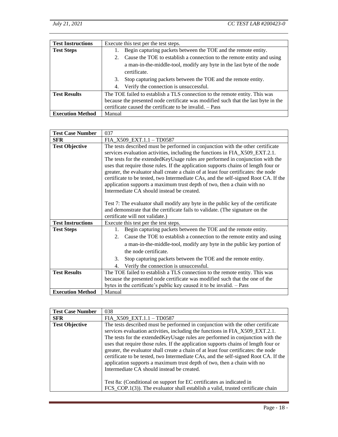| <b>Test Instructions</b> |        | Execute this test per the test steps.                                              |
|--------------------------|--------|------------------------------------------------------------------------------------|
| <b>Test Steps</b>        |        | Begin capturing packets between the TOE and the remote entity.                     |
|                          | 2.     | Cause the TOE to establish a connection to the remote entity and using             |
|                          |        | a man-in-the-middle-tool, modify any byte in the last byte of the node             |
|                          |        | certificate.                                                                       |
|                          | 3.     | Stop capturing packets between the TOE and the remote entity.                      |
|                          |        | 4. Verify the connection is unsuccessful.                                          |
| <b>Test Results</b>      |        | The TOE failed to establish a TLS connection to the remote entity. This was        |
|                          |        | because the presented node certificate was modified such that the last byte in the |
|                          |        | certificate caused the certificate to be invalid. - Pass                           |
| <b>Execution Method</b>  | Manual |                                                                                    |

| <b>Test Case Number</b>  | 037                                                                                                                                                                                                                                                                                                                                                                                                                                                                                                                                                                                                                                                                                                                                                                                                                                                       |
|--------------------------|-----------------------------------------------------------------------------------------------------------------------------------------------------------------------------------------------------------------------------------------------------------------------------------------------------------------------------------------------------------------------------------------------------------------------------------------------------------------------------------------------------------------------------------------------------------------------------------------------------------------------------------------------------------------------------------------------------------------------------------------------------------------------------------------------------------------------------------------------------------|
| <b>SFR</b>               | FIA_X509_EXT.1.1 - TD0587                                                                                                                                                                                                                                                                                                                                                                                                                                                                                                                                                                                                                                                                                                                                                                                                                                 |
| <b>Test Objective</b>    | The tests described must be performed in conjunction with the other certificate<br>services evaluation activities, including the functions in FIA_X509_EXT.2.1.<br>The tests for the extended Key Usage rules are performed in conjunction with the<br>uses that require those rules. If the application supports chains of length four or<br>greater, the evaluator shall create a chain of at least four certificates: the node<br>certificate to be tested, two Intermediate CAs, and the self-signed Root CA. If the<br>application supports a maximum trust depth of two, then a chain with no<br>Intermediate CA should instead be created.<br>Test 7: The evaluator shall modify any byte in the public key of the certificate<br>and demonstrate that the certificate fails to validate. (The signature on the<br>certificate will not validate.) |
| <b>Test Instructions</b> | Execute this test per the test steps.                                                                                                                                                                                                                                                                                                                                                                                                                                                                                                                                                                                                                                                                                                                                                                                                                     |
| <b>Test Steps</b>        | Begin capturing packets between the TOE and the remote entity.<br>1.<br>Cause the TOE to establish a connection to the remote entity and using<br>2.<br>a man-in-the-middle-tool, modify any byte in the public key portion of<br>the node certificate.<br>3.<br>Stop capturing packets between the TOE and the remote entity.<br>Verify the connection is unsuccessful.<br>4.                                                                                                                                                                                                                                                                                                                                                                                                                                                                            |
| <b>Test Results</b>      | The TOE failed to establish a TLS connection to the remote entity. This was                                                                                                                                                                                                                                                                                                                                                                                                                                                                                                                                                                                                                                                                                                                                                                               |
|                          | because the presented node certificate was modified such that the one of the                                                                                                                                                                                                                                                                                                                                                                                                                                                                                                                                                                                                                                                                                                                                                                              |
| <b>Execution Method</b>  | bytes in the certificate's public key caused it to be invalid. - Pass<br>Manual                                                                                                                                                                                                                                                                                                                                                                                                                                                                                                                                                                                                                                                                                                                                                                           |
|                          |                                                                                                                                                                                                                                                                                                                                                                                                                                                                                                                                                                                                                                                                                                                                                                                                                                                           |

| <b>Test Case Number</b> | 038                                                                                                                                                                                                                                                                                                                                                                                                                                                                                                                                                                                                                                               |
|-------------------------|---------------------------------------------------------------------------------------------------------------------------------------------------------------------------------------------------------------------------------------------------------------------------------------------------------------------------------------------------------------------------------------------------------------------------------------------------------------------------------------------------------------------------------------------------------------------------------------------------------------------------------------------------|
| <b>SFR</b>              | FIA_X509_EXT.1.1 - TD0587                                                                                                                                                                                                                                                                                                                                                                                                                                                                                                                                                                                                                         |
| <b>Test Objective</b>   | The tests described must be performed in conjunction with the other certificate<br>services evaluation activities, including the functions in FIA_X509_EXT.2.1.<br>The tests for the extended Key Usage rules are performed in conjunction with the<br>uses that require those rules. If the application supports chains of length four or<br>greater, the evaluator shall create a chain of at least four certificates: the node<br>certificate to be tested, two Intermediate CAs, and the self-signed Root CA. If the<br>application supports a maximum trust depth of two, then a chain with no<br>Intermediate CA should instead be created. |
|                         | Test 8a: (Conditional on support for EC certificates as indicated in                                                                                                                                                                                                                                                                                                                                                                                                                                                                                                                                                                              |
|                         | FCS_COP.1(3)). The evaluator shall establish a valid, trusted certificate chain                                                                                                                                                                                                                                                                                                                                                                                                                                                                                                                                                                   |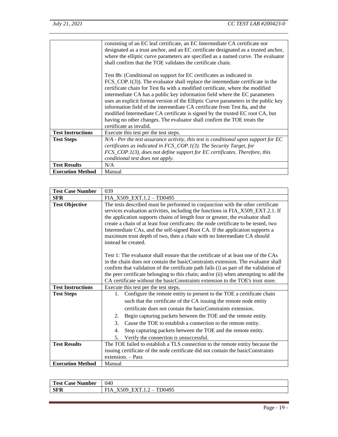|                          | consisting of an EC leaf certificate, an EC Intermediate CA certificate not<br>designated as a trust anchor, and an EC certificate designated as a trusted anchor,<br>where the elliptic curve parameters are specified as a named curve. The evaluator<br>shall confirm that the TOE validates the certificate chain.<br>Test 8b: (Conditional on support for EC certificates as indicated in<br>$FCS_COP.1(3)$ . The evaluator shall replace the intermediate certificate in the<br>certificate chain for Test 8a with a modified certificate, where the modified<br>intermediate CA has a public key information field where the EC parameters<br>uses an explicit format version of the Elliptic Curve parameters in the public key<br>information field of the intermediate CA certificate from Test 8a, and the<br>modified Intermediate CA certificate is signed by the trusted EC root CA, but<br>having no other changes. The evaluator shall confirm the TOE treats the |
|--------------------------|-----------------------------------------------------------------------------------------------------------------------------------------------------------------------------------------------------------------------------------------------------------------------------------------------------------------------------------------------------------------------------------------------------------------------------------------------------------------------------------------------------------------------------------------------------------------------------------------------------------------------------------------------------------------------------------------------------------------------------------------------------------------------------------------------------------------------------------------------------------------------------------------------------------------------------------------------------------------------------------|
|                          | certificate as invalid.                                                                                                                                                                                                                                                                                                                                                                                                                                                                                                                                                                                                                                                                                                                                                                                                                                                                                                                                                           |
| <b>Test Instructions</b> | Execute this test per the test steps.                                                                                                                                                                                                                                                                                                                                                                                                                                                                                                                                                                                                                                                                                                                                                                                                                                                                                                                                             |
| <b>Test Steps</b>        | N/A - Per the test assurance activity, this test is conditional upon support for EC                                                                                                                                                                                                                                                                                                                                                                                                                                                                                                                                                                                                                                                                                                                                                                                                                                                                                               |
|                          | certificates as indicated in $FCS_COP.1(3)$ . The Security Target, for                                                                                                                                                                                                                                                                                                                                                                                                                                                                                                                                                                                                                                                                                                                                                                                                                                                                                                            |
|                          | FCS_COP.1(3), does not define support for EC certificates. Therefore, this                                                                                                                                                                                                                                                                                                                                                                                                                                                                                                                                                                                                                                                                                                                                                                                                                                                                                                        |
|                          | conditional test does not apply.                                                                                                                                                                                                                                                                                                                                                                                                                                                                                                                                                                                                                                                                                                                                                                                                                                                                                                                                                  |
| <b>Test Results</b>      | N/A                                                                                                                                                                                                                                                                                                                                                                                                                                                                                                                                                                                                                                                                                                                                                                                                                                                                                                                                                                               |
| <b>Execution Method</b>  | Manual                                                                                                                                                                                                                                                                                                                                                                                                                                                                                                                                                                                                                                                                                                                                                                                                                                                                                                                                                                            |

| <b>Test Case Number</b>  | 039                                                                                                                                                                                                                                                                                                                                                                                                                                                                                                                            |
|--------------------------|--------------------------------------------------------------------------------------------------------------------------------------------------------------------------------------------------------------------------------------------------------------------------------------------------------------------------------------------------------------------------------------------------------------------------------------------------------------------------------------------------------------------------------|
| <b>SFR</b>               | FIA $X509$ EXT.1.2 - TD0495                                                                                                                                                                                                                                                                                                                                                                                                                                                                                                    |
| <b>Test Objective</b>    | The tests described must be performed in conjunction with the other certificate<br>services evaluation activities, including the functions in FIA_X509_EXT.2.1. If<br>the application supports chains of length four or greater, the evaluator shall<br>create a chain of at least four certificates: the node certificate to be tested, two<br>Intermediate CAs, and the self-signed Root CA. If the application supports a<br>maximum trust depth of two, then a chain with no Intermediate CA should<br>instead be created. |
|                          | Test 1: The evaluator shall ensure that the certificate of at least one of the CAs<br>in the chain does not contain the basicConstraints extension. The evaluator shall<br>confirm that validation of the certificate path fails (i) as part of the validation of<br>the peer certificate belonging to this chain; and/or (ii) when attempting to add the<br>CA certificate without the basic Constraints extension to the TOE's trust store.                                                                                  |
| <b>Test Instructions</b> | Execute this test per the test steps.                                                                                                                                                                                                                                                                                                                                                                                                                                                                                          |
| <b>Test Steps</b>        | Configure the remote entity to present to the TOE a certificate chain<br>1.                                                                                                                                                                                                                                                                                                                                                                                                                                                    |
|                          | such that the certificate of the CA issuing the remote node entity                                                                                                                                                                                                                                                                                                                                                                                                                                                             |
|                          | certificate does not contain the basicConstraints extension.                                                                                                                                                                                                                                                                                                                                                                                                                                                                   |
|                          | Begin capturing packets between the TOE and the remote entity.<br>2.                                                                                                                                                                                                                                                                                                                                                                                                                                                           |
|                          | 3.<br>Cause the TOE to establish a connection to the remote entity.                                                                                                                                                                                                                                                                                                                                                                                                                                                            |
|                          | Stop capturing packets between the TOE and the remote entity.<br>4.                                                                                                                                                                                                                                                                                                                                                                                                                                                            |
|                          | Verify the connection is unsuccessful.<br>5.                                                                                                                                                                                                                                                                                                                                                                                                                                                                                   |
| <b>Test Results</b>      | The TOE failed to establish a TLS connection to the remote entity because the                                                                                                                                                                                                                                                                                                                                                                                                                                                  |
|                          | issuing certificate of the node certificate did not contain the basicConstraints                                                                                                                                                                                                                                                                                                                                                                                                                                               |
|                          | extension. - Pass                                                                                                                                                                                                                                                                                                                                                                                                                                                                                                              |
| <b>Execution Method</b>  | Manual                                                                                                                                                                                                                                                                                                                                                                                                                                                                                                                         |

| Test .<br>$\angle$ ase<br>Number | 040                                                            |
|----------------------------------|----------------------------------------------------------------|
| <b>SFR</b>                       | TD0495<br>$\mathbf{u}$ $\mathbf{v}$<br>--<br>ገር<br>д<br>.<br>_ |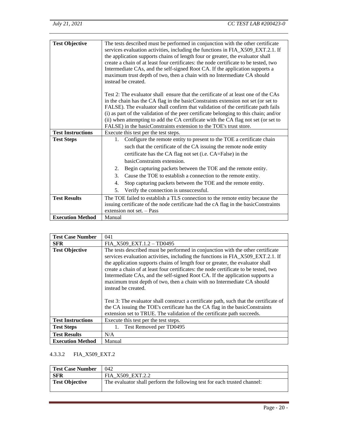| <b>Test Objective</b>    | The tests described must be performed in conjunction with the other certificate<br>services evaluation activities, including the functions in FIA_X509_EXT.2.1. If<br>the application supports chains of length four or greater, the evaluator shall<br>create a chain of at least four certificates: the node certificate to be tested, two<br>Intermediate CAs, and the self-signed Root CA. If the application supports a<br>maximum trust depth of two, then a chain with no Intermediate CA should<br>instead be created. |
|--------------------------|--------------------------------------------------------------------------------------------------------------------------------------------------------------------------------------------------------------------------------------------------------------------------------------------------------------------------------------------------------------------------------------------------------------------------------------------------------------------------------------------------------------------------------|
|                          | Test 2: The evaluator shall ensure that the certificate of at least one of the CAs<br>in the chain has the CA flag in the basicConstraints extension not set (or set to<br>FALSE). The evaluator shall confirm that validation of the certificate path fails<br>(i) as part of the validation of the peer certificate belonging to this chain; and/or<br>(ii) when attempting to add the CA certificate with the CA flag not set (or set to<br>FALSE) in the basicConstraints extension to the TOE's trust store.              |
| <b>Test Instructions</b> | Execute this test per the test steps.                                                                                                                                                                                                                                                                                                                                                                                                                                                                                          |
| <b>Test Steps</b>        | Configure the remote entity to present to the TOE a certificate chain<br>1.                                                                                                                                                                                                                                                                                                                                                                                                                                                    |
|                          | such that the certificate of the CA issuing the remote node entity                                                                                                                                                                                                                                                                                                                                                                                                                                                             |
|                          | certificate has the CA flag not set (i.e. CA=False) in the                                                                                                                                                                                                                                                                                                                                                                                                                                                                     |
|                          | basicConstraints extension.                                                                                                                                                                                                                                                                                                                                                                                                                                                                                                    |
|                          | Begin capturing packets between the TOE and the remote entity.<br>2.                                                                                                                                                                                                                                                                                                                                                                                                                                                           |
|                          | 3.<br>Cause the TOE to establish a connection to the remote entity.                                                                                                                                                                                                                                                                                                                                                                                                                                                            |
|                          | Stop capturing packets between the TOE and the remote entity.<br>4.                                                                                                                                                                                                                                                                                                                                                                                                                                                            |
|                          | 5.<br>Verify the connection is unsuccessful.                                                                                                                                                                                                                                                                                                                                                                                                                                                                                   |
| <b>Test Results</b>      | The TOE failed to establish a TLS connection to the remote entity because the<br>issuing certificate of the node certificate had the cA flag in the basicConstraints<br>extension not set. - Pass                                                                                                                                                                                                                                                                                                                              |
| <b>Execution Method</b>  | Manual                                                                                                                                                                                                                                                                                                                                                                                                                                                                                                                         |

| <b>Test Case Number</b>  | 041                                                                                                                                                                                                                                                                                                                                                                                                                                                                                                                            |
|--------------------------|--------------------------------------------------------------------------------------------------------------------------------------------------------------------------------------------------------------------------------------------------------------------------------------------------------------------------------------------------------------------------------------------------------------------------------------------------------------------------------------------------------------------------------|
| <b>SFR</b>               | FIA X509 EXT.1.2 - TD0495                                                                                                                                                                                                                                                                                                                                                                                                                                                                                                      |
| <b>Test Objective</b>    | The tests described must be performed in conjunction with the other certificate<br>services evaluation activities, including the functions in FIA_X509_EXT.2.1. If<br>the application supports chains of length four or greater, the evaluator shall<br>create a chain of at least four certificates: the node certificate to be tested, two<br>Intermediate CAs, and the self-signed Root CA. If the application supports a<br>maximum trust depth of two, then a chain with no Intermediate CA should<br>instead be created. |
|                          | Test 3: The evaluator shall construct a certificate path, such that the certificate of<br>the CA issuing the TOE's certificate has the CA flag in the basicConstraints<br>extension set to TRUE. The validation of the certificate path succeeds.                                                                                                                                                                                                                                                                              |
| <b>Test Instructions</b> | Execute this test per the test steps.                                                                                                                                                                                                                                                                                                                                                                                                                                                                                          |
| <b>Test Steps</b>        | Test Removed per TD0495                                                                                                                                                                                                                                                                                                                                                                                                                                                                                                        |
| <b>Test Results</b>      | N/A                                                                                                                                                                                                                                                                                                                                                                                                                                                                                                                            |
| <b>Execution Method</b>  | Manual                                                                                                                                                                                                                                                                                                                                                                                                                                                                                                                         |

## <span id="page-22-0"></span>4.3.3.2 FIA\_X509\_EXT.2

| <b>Test Case Number</b> | 042                                                                      |
|-------------------------|--------------------------------------------------------------------------|
| <b>SFR</b>              | FIA X509 EXT.2.2                                                         |
| <b>Test Objective</b>   | The evaluator shall perform the following test for each trusted channel: |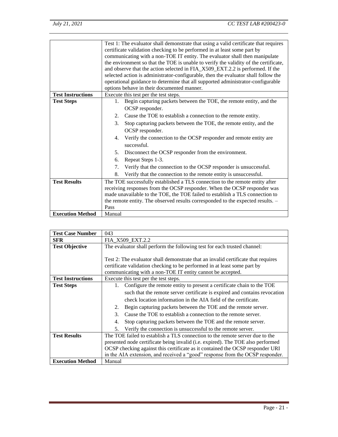|                          |                                                                                      | Test 1: The evaluator shall demonstrate that using a valid certificate that requires |  |
|--------------------------|--------------------------------------------------------------------------------------|--------------------------------------------------------------------------------------|--|
|                          | certificate validation checking to be performed in at least some part by             |                                                                                      |  |
|                          | communicating with a non-TOE IT entity. The evaluator shall then manipulate          |                                                                                      |  |
|                          | the environment so that the TOE is unable to verify the validity of the certificate, |                                                                                      |  |
|                          |                                                                                      | and observe that the action selected in FIA_X509_EXT.2.2 is performed. If the        |  |
|                          |                                                                                      | selected action is administrator-configurable, then the evaluator shall follow the   |  |
|                          |                                                                                      | operational guidance to determine that all supported administrator-configurable      |  |
|                          |                                                                                      | options behave in their documented manner.                                           |  |
| <b>Test Instructions</b> |                                                                                      | Execute this test per the test steps.                                                |  |
| <b>Test Steps</b>        | 1.                                                                                   | Begin capturing packets between the TOE, the remote entity, and the                  |  |
|                          |                                                                                      | OCSP responder.                                                                      |  |
|                          | 2.                                                                                   | Cause the TOE to establish a connection to the remote entity.                        |  |
|                          | 3.                                                                                   | Stop capturing packets between the TOE, the remote entity, and the                   |  |
|                          |                                                                                      | OCSP responder.                                                                      |  |
|                          | 4.                                                                                   | Verify the connection to the OCSP responder and remote entity are                    |  |
|                          |                                                                                      | successful.                                                                          |  |
|                          | 5.                                                                                   | Disconnect the OCSP responder from the environment.                                  |  |
|                          | 6.                                                                                   | Repeat Steps 1-3.                                                                    |  |
|                          | 7.                                                                                   | Verify that the connection to the OCSP responder is unsuccessful.                    |  |
|                          | 8.                                                                                   | Verify that the connection to the remote entity is unsuccessful.                     |  |
| <b>Test Results</b>      |                                                                                      | The TOE successfully established a TLS connection to the remote entity after         |  |
|                          |                                                                                      | receiving responses from the OCSP responder. When the OCSP responder was             |  |
|                          |                                                                                      | made unavailable to the TOE, the TOE failed to establish a TLS connection to         |  |
|                          |                                                                                      | the remote entity. The observed results corresponded to the expected results. -      |  |
|                          | Pass                                                                                 |                                                                                      |  |
| <b>Execution Method</b>  | Manual                                                                               |                                                                                      |  |

| <b>Test Case Number</b>  | 043                                                                               |  |
|--------------------------|-----------------------------------------------------------------------------------|--|
| <b>SFR</b>               | FIA_X509_EXT.2.2                                                                  |  |
| <b>Test Objective</b>    | The evaluator shall perform the following test for each trusted channel:          |  |
|                          |                                                                                   |  |
|                          | Test 2: The evaluator shall demonstrate that an invalid certificate that requires |  |
|                          | certificate validation checking to be performed in at least some part by          |  |
|                          | communicating with a non-TOE IT entity cannot be accepted.                        |  |
| <b>Test Instructions</b> | Execute this test per the test steps.                                             |  |
| <b>Test Steps</b>        | Configure the remote entity to present a certificate chain to the TOE<br>1.       |  |
|                          | such that the remote server certificate is expired and contains revocation        |  |
|                          | check location information in the AIA field of the certificate.                   |  |
|                          | Begin capturing packets between the TOE and the remote server.<br>2.              |  |
|                          | $\mathcal{E}$<br>Cause the TOE to establish a connection to the remote server.    |  |
|                          | Stop capturing packets between the TOE and the remote server.<br>4.               |  |
|                          | Verify the connection is unsuccessful to the remote server.<br>5.                 |  |
| <b>Test Results</b>      | The TOE failed to establish a TLS connection to the remote server due to the      |  |
|                          | presented node certificate being invalid (i.e. expired). The TOE also performed   |  |
|                          | OCSP checking against this certificate as it contained the OCSP responder URI     |  |
|                          | in the AIA extension, and received a "good" response from the OCSP responder.     |  |
| <b>Execution Method</b>  | Manual                                                                            |  |

J,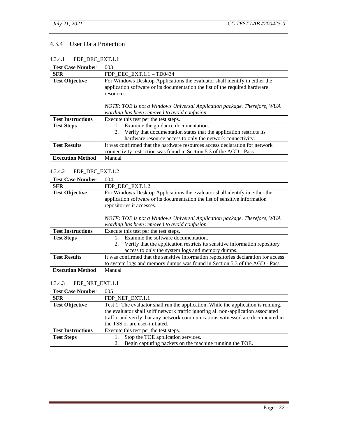## <span id="page-24-0"></span>4.3.4 User Data Protection

<span id="page-24-1"></span>

| <b>Test Case Number</b>  | 003                                                                                                                                                                                                                                                  |
|--------------------------|------------------------------------------------------------------------------------------------------------------------------------------------------------------------------------------------------------------------------------------------------|
| <b>SFR</b>               | FDP DEC $EXT.1.1 - TD0434$                                                                                                                                                                                                                           |
| <b>Test Objective</b>    | For Windows Desktop Applications the evaluator shall identify in either the<br>application software or its documentation the list of the required hardware<br>resources.<br>NOTE: TOE is not a Windows Universal Application package. Therefore, WUA |
|                          | wording has been removed to avoid confusion.                                                                                                                                                                                                         |
| <b>Test Instructions</b> | Execute this test per the test steps.                                                                                                                                                                                                                |
| <b>Test Steps</b>        | Examine the guidance documentation.                                                                                                                                                                                                                  |
|                          | Verify that documentation states that the application restricts its<br>2.                                                                                                                                                                            |
|                          | hardware resource access to only the network connectivity.                                                                                                                                                                                           |
| <b>Test Results</b>      | It was confirmed that the hardware resources access declaration for network                                                                                                                                                                          |
|                          | connectivity restriction was found in Section 5.3 of the AGD - Pass                                                                                                                                                                                  |
| <b>Execution Method</b>  | Manual                                                                                                                                                                                                                                               |

#### <span id="page-24-2"></span>4.3.4.2 FDP\_DEC\_EXT.1.2

| <b>Test Case Number</b>  | 004                                                                                 |  |
|--------------------------|-------------------------------------------------------------------------------------|--|
| <b>SFR</b>               | FDP_DEC_EXT.1.2                                                                     |  |
| <b>Test Objective</b>    | For Windows Desktop Applications the evaluator shall identify in either the         |  |
|                          | application software or its documentation the list of sensitive information         |  |
|                          | repositories it accesses.                                                           |  |
|                          |                                                                                     |  |
|                          | NOTE: TOE is not a Windows Universal Application package. Therefore, WUA            |  |
|                          | wording has been removed to avoid confusion.                                        |  |
| <b>Test Instructions</b> | Execute this test per the test steps.                                               |  |
| <b>Test Steps</b>        | Examine the software documentation.                                                 |  |
|                          | Verify that the application restricts its sensitive information repository<br>2.    |  |
|                          | access to only the system logs and memory dumps.                                    |  |
| <b>Test Results</b>      | It was confirmed that the sensitive information repositories declaration for access |  |
|                          | to system logs and memory dumps was found in Section 5.3 of the AGD - Pass          |  |
| <b>Execution Method</b>  | Manual                                                                              |  |

#### <span id="page-24-3"></span>4.3.4.3 FDP\_NET\_EXT.1.1

| <b>Test Case Number</b>  | 005                                                                                |
|--------------------------|------------------------------------------------------------------------------------|
| <b>SFR</b>               | FDP NET EXT.1.1                                                                    |
| <b>Test Objective</b>    | Test 1: The evaluator shall run the application. While the application is running, |
|                          | the evaluator shall sniff network traffic ignoring all non-application associated  |
|                          | traffic and verify that any network communications witnessed are documented in     |
|                          | the TSS or are user-initiated.                                                     |
| <b>Test Instructions</b> | Execute this test per the test steps.                                              |
| <b>Test Steps</b>        | Stop the TOE application services.                                                 |
|                          | Begin capturing packets on the machine running the TOE.                            |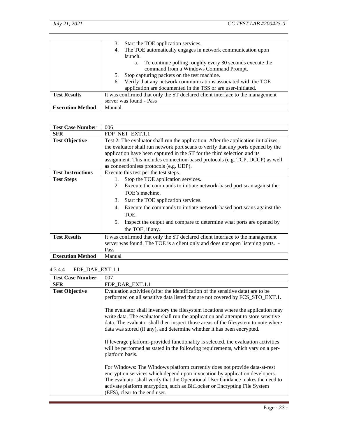|                         | Start the TOE application services.<br>3.                                     |
|-------------------------|-------------------------------------------------------------------------------|
|                         | The TOE automatically engages in network communication upon<br>4.             |
|                         | launch.                                                                       |
|                         | To continue polling roughly every 30 seconds execute the<br>a.                |
|                         | command from a Windows Command Prompt.                                        |
|                         | Stop capturing packets on the test machine.                                   |
|                         | 6. Verify that any network communications associated with the TOE             |
|                         | application are documented in the TSS or are user-initiated.                  |
| <b>Test Results</b>     | It was confirmed that only the ST declared client interface to the management |
|                         | server was found - Pass                                                       |
| <b>Execution Method</b> | Manual                                                                        |

| <b>Test Case Number</b>  | 006                                                                                 |
|--------------------------|-------------------------------------------------------------------------------------|
| <b>SFR</b>               | FDP NET EXT.1.1                                                                     |
| <b>Test Objective</b>    | Test 2: The evaluator shall run the application. After the application initializes, |
|                          | the evaluator shall run network port scans to verify that any ports opened by the   |
|                          | application have been captured in the ST for the third selection and its            |
|                          | assignment. This includes connection-based protocols (e.g. TCP, DCCP) as well       |
|                          | as connectionless protocols (e.g. UDP).                                             |
| <b>Test Instructions</b> | Execute this test per the test steps.                                               |
| <b>Test Steps</b>        | Stop the TOE application services.<br>1.                                            |
|                          | Execute the commands to initiate network-based port scan against the<br>2.          |
|                          | TOE's machine.                                                                      |
|                          | Start the TOE application services.<br>3.                                           |
|                          | 4. Execute the commands to initiate network-based port scans against the            |
|                          | TOE.                                                                                |
|                          | 5.<br>Inspect the output and compare to determine what ports are opened by          |
|                          | the TOE, if any.                                                                    |
| <b>Test Results</b>      | It was confirmed that only the ST declared client interface to the management       |
|                          | server was found. The TOE is a client only and does not open listening ports. -     |
|                          | Pass                                                                                |
| <b>Execution Method</b>  | Manual                                                                              |

## <span id="page-25-0"></span>4.3.4.4 FDP\_DAR\_EXT.1.1

| <b>Test Case Number</b> | 007                                                                                                                                                                                                                                                                                                                                                       |
|-------------------------|-----------------------------------------------------------------------------------------------------------------------------------------------------------------------------------------------------------------------------------------------------------------------------------------------------------------------------------------------------------|
| <b>SFR</b>              | FDP_DAR_EXT.1.1                                                                                                                                                                                                                                                                                                                                           |
| <b>Test Objective</b>   | Evaluation activities (after the identification of the sensitive data) are to be<br>performed on all sensitive data listed that are not covered by FCS_STO_EXT.1.                                                                                                                                                                                         |
|                         | The evaluator shall inventory the filesystem locations where the application may<br>write data. The evaluator shall run the application and attempt to store sensitive<br>data. The evaluator shall then inspect those areas of the filesystem to note where<br>data was stored (if any), and determine whether it has been encrypted.                    |
|                         | If leverage platform-provided functionality is selected, the evaluation activities<br>will be performed as stated in the following requirements, which vary on a per-<br>platform basis.                                                                                                                                                                  |
|                         | For Windows: The Windows platform currently does not provide data-at-rest<br>encryption services which depend upon invocation by application developers.<br>The evaluator shall verify that the Operational User Guidance makes the need to<br>activate platform encryption, such as BitLocker or Encrypting File System<br>(EFS), clear to the end user. |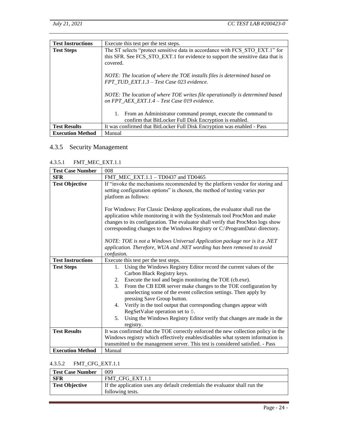| <b>Test Instructions</b> | Execute this test per the test steps.                                                                                                                                      |
|--------------------------|----------------------------------------------------------------------------------------------------------------------------------------------------------------------------|
| <b>Test Steps</b>        | The ST selects "protect sensitive data in accordance with FCS STO EXT.1" for<br>this SFR. See FCS_STO_EXT.1 for evidence to support the sensitive data that is<br>covered. |
|                          | NOTE: The location of where the TOE installs files is determined based on<br>FPT TUD EXT.1.3 - Test Case 023 evidence.                                                     |
|                          | NOTE: The location of where TOE writes file operationally is determined based<br>on FPT AEX EXT.1.4 - Test Case 019 evidence.                                              |
|                          | From an Administrator command prompt, execute the command to<br>1.<br>confirm that BitLocker Full Disk Encryption is enabled.                                              |
| <b>Test Results</b>      | It was confirmed that BitLocker Full Disk Encryption was enabled - Pass                                                                                                    |
| <b>Execution Method</b>  | Manual                                                                                                                                                                     |

## <span id="page-26-0"></span>4.3.5 Security Management

## <span id="page-26-1"></span>4.3.5.1 FMT\_MEC\_EXT.1.1

| <b>Test Case Number</b>  | 008                                                                                                                                                                                                                                                                                                                         |  |
|--------------------------|-----------------------------------------------------------------------------------------------------------------------------------------------------------------------------------------------------------------------------------------------------------------------------------------------------------------------------|--|
| <b>SFR</b>               | FMT_MEC_EXT.1.1 - TD0437 and TD0465                                                                                                                                                                                                                                                                                         |  |
| <b>Test Objective</b>    | If "invoke the mechanisms recommended by the platform vendor for storing and<br>setting configuration options" is chosen, the method of testing varies per<br>platform as follows:                                                                                                                                          |  |
|                          | For Windows: For Classic Desktop applications, the evaluator shall run the<br>application while monitoring it with the SysInternals tool ProcMon and make<br>changes to its configuration. The evaluator shall verify that ProcMon logs show<br>corresponding changes to the Windows Registry or C:\ProgramData\ directory. |  |
|                          | NOTE: TOE is not a Windows Universal Application package nor is it a .NET<br>application. Therefore, WUA and .NET wording has been removed to avoid<br>confusion.                                                                                                                                                           |  |
| <b>Test Instructions</b> | Execute this test per the test steps.                                                                                                                                                                                                                                                                                       |  |
| <b>Test Steps</b>        | Using the Windows Registry Editor record the current values of the<br>$1_{\cdot}$<br>Carbon Black Registry keys.                                                                                                                                                                                                            |  |
|                          | Execute the tool and begin monitoring the TOE (cb.exe).<br>2.                                                                                                                                                                                                                                                               |  |
|                          | From the CB EDR server make changes to the TOE configuration by<br>3.                                                                                                                                                                                                                                                       |  |
|                          | unselecting some of the event collection settings. Then apply by<br>pressing Save Group button.                                                                                                                                                                                                                             |  |
|                          | 4. Verify in the tool output that corresponding changes appear with<br>RegSetValue operation set to 0.                                                                                                                                                                                                                      |  |
|                          | Using the Windows Registry Editor verify that changes are made in the<br>5.<br>registry.                                                                                                                                                                                                                                    |  |
| <b>Test Results</b>      | It was confirmed that the TOE correctly enforced the new collection policy in the                                                                                                                                                                                                                                           |  |
|                          | Windows registry which effectively enables/disables what system information is                                                                                                                                                                                                                                              |  |
|                          | transmitted to the management server. This test is considered satisfied. - Pass                                                                                                                                                                                                                                             |  |
| <b>Execution Method</b>  | Manual                                                                                                                                                                                                                                                                                                                      |  |

#### <span id="page-26-2"></span>4.3.5.2 FMT\_CFG\_EXT.1.1

| <b>Test Case Number</b> | 009                                                                         |
|-------------------------|-----------------------------------------------------------------------------|
| <b>SFR</b>              | FMT CFG EXT.1.1                                                             |
| Test Objective          | If the application uses any default credentials the evaluator shall run the |
|                         | following tests.                                                            |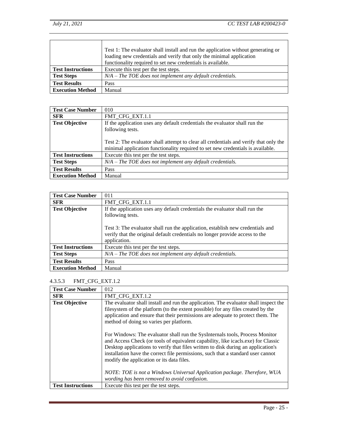|                          | Test 1: The evaluator shall install and run the application without generating or<br>loading new credentials and verify that only the minimal application<br>functionality required to set new credentials is available. |
|--------------------------|--------------------------------------------------------------------------------------------------------------------------------------------------------------------------------------------------------------------------|
| <b>Test Instructions</b> | Execute this test per the test steps.                                                                                                                                                                                    |
| <b>Test Steps</b>        | $N/A$ – The TOE does not implement any default credentials.                                                                                                                                                              |
| <b>Test Results</b>      | Pass                                                                                                                                                                                                                     |
| <b>Execution Method</b>  | Manual                                                                                                                                                                                                                   |

| <b>Test Case Number</b>  | 010                                                                                                                                                                                                                                                                         |
|--------------------------|-----------------------------------------------------------------------------------------------------------------------------------------------------------------------------------------------------------------------------------------------------------------------------|
| <b>SFR</b>               | FMT CFG EXT.1.1                                                                                                                                                                                                                                                             |
| <b>Test Objective</b>    | If the application uses any default credentials the evaluator shall run the<br>following tests.<br>Test 2: The evaluator shall attempt to clear all credentials and verify that only the<br>minimal application functionality required to set new credentials is available. |
| <b>Test Instructions</b> | Execute this test per the test steps.                                                                                                                                                                                                                                       |
| <b>Test Steps</b>        | $N/A$ – The TOE does not implement any default credentials.                                                                                                                                                                                                                 |
| <b>Test Results</b>      | Pass                                                                                                                                                                                                                                                                        |
| <b>Execution Method</b>  | Manual                                                                                                                                                                                                                                                                      |

| <b>Test Case Number</b>  | 011                                                                                                                                                                                                                                                                               |
|--------------------------|-----------------------------------------------------------------------------------------------------------------------------------------------------------------------------------------------------------------------------------------------------------------------------------|
| <b>SFR</b>               | FMT CFG EXT.1.1                                                                                                                                                                                                                                                                   |
| <b>Test Objective</b>    | If the application uses any default credentials the evaluator shall run the<br>following tests.<br>Test 3: The evaluator shall run the application, establish new credentials and<br>verify that the original default credentials no longer provide access to the<br>application. |
| <b>Test Instructions</b> | Execute this test per the test steps.                                                                                                                                                                                                                                             |
| <b>Test Steps</b>        | $N/A$ – The TOE does not implement any default credentials.                                                                                                                                                                                                                       |
| <b>Test Results</b>      | Pass                                                                                                                                                                                                                                                                              |
| <b>Execution Method</b>  | Manual                                                                                                                                                                                                                                                                            |

## <span id="page-27-0"></span>4.3.5.3 FMT\_CFG\_EXT.1.2

| <b>Test Case Number</b>  | 012                                                                                                                                                                                                                                                                                                                                                                                     |
|--------------------------|-----------------------------------------------------------------------------------------------------------------------------------------------------------------------------------------------------------------------------------------------------------------------------------------------------------------------------------------------------------------------------------------|
| <b>SFR</b>               | FMT_CFG_EXT.1.2                                                                                                                                                                                                                                                                                                                                                                         |
| <b>Test Objective</b>    | The evaluator shall install and run the application. The evaluator shall inspect the<br>filesystem of the platform (to the extent possible) for any files created by the<br>application and ensure that their permissions are adequate to protect them. The<br>method of doing so varies per platform.                                                                                  |
|                          | For Windows: The evaluator shall run the SysInternals tools, Process Monitor<br>and Access Check (or tools of equivalent capability, like icacls.exe) for Classic<br>Desktop applications to verify that files written to disk during an application's<br>installation have the correct file permissions, such that a standard user cannot<br>modify the application or its data files. |
|                          | NOTE: TOE is not a Windows Universal Application package. Therefore, WUA<br>wording has been removed to avoid confusion.                                                                                                                                                                                                                                                                |
| <b>Test Instructions</b> | Execute this test per the test steps.                                                                                                                                                                                                                                                                                                                                                   |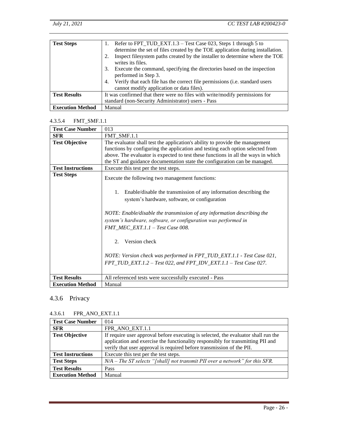| <b>Test Steps</b>       | Refer to FPT_TUD_EXT.1.3 – Test Case 023, Steps 1 through 5 to<br>determine the set of files created by the TOE application during installation. |
|-------------------------|--------------------------------------------------------------------------------------------------------------------------------------------------|
|                         | Inspect filesystem paths created by the installer to determine where the TOE<br>writes its files.                                                |
|                         | Execute the command, specifying the directories based on the inspection<br>3.<br>performed in Step 3.                                            |
|                         | Verify that each file has the correct file permissions (i.e. standard users<br>4.<br>cannot modify application or data files).                   |
| <b>Test Results</b>     | It was confirmed that there were no files with write/modify permissions for                                                                      |
|                         | standard (non-Security Administrator) users - Pass                                                                                               |
| <b>Execution Method</b> | Manual                                                                                                                                           |

#### <span id="page-28-0"></span>4.3.5.4 FMT\_SMF.1.1

| <b>Test Case Number</b>  | 013                                                                                                                                                                                                                                                                                                                                                                                                                                                                                                                              |
|--------------------------|----------------------------------------------------------------------------------------------------------------------------------------------------------------------------------------------------------------------------------------------------------------------------------------------------------------------------------------------------------------------------------------------------------------------------------------------------------------------------------------------------------------------------------|
| <b>SFR</b>               | FMT SMF.1.1                                                                                                                                                                                                                                                                                                                                                                                                                                                                                                                      |
| <b>Test Objective</b>    | The evaluator shall test the application's ability to provide the management<br>functions by configuring the application and testing each option selected from<br>above. The evaluator is expected to test these functions in all the ways in which<br>the ST and guidance documentation state the configuration can be managed.                                                                                                                                                                                                 |
| <b>Test Instructions</b> | Execute this test per the test steps.                                                                                                                                                                                                                                                                                                                                                                                                                                                                                            |
| <b>Test Steps</b>        | Execute the following two management functions:<br>Enable/disable the transmission of any information describing the<br>1.<br>system's hardware, software, or configuration<br>NOTE: Enable/disable the transmission of any information describing the<br>system's hardware, software, or configuration was performed in<br>FMT_MEC_EXT.1.1 - Test Case 008.<br>Version check<br>2.<br>NOTE: Version check was performed in FPT_TUD_EXT.1.1 - Test Case 021,<br>FPT_TUD_EXT.1.2 - Test 022, and FPT_IDV_EXT.1.1 - Test Case 027. |
| <b>Test Results</b>      |                                                                                                                                                                                                                                                                                                                                                                                                                                                                                                                                  |
|                          | All referenced tests were successfully executed - Pass                                                                                                                                                                                                                                                                                                                                                                                                                                                                           |
| <b>Execution Method</b>  | Manual                                                                                                                                                                                                                                                                                                                                                                                                                                                                                                                           |

## <span id="page-28-1"></span>4.3.6 Privacy

#### <span id="page-28-2"></span>4.3.6.1 FPR\_ANO\_EXT.1.1

| <b>Test Case Number</b>  | 014                                                                                                                                                                                                                                            |
|--------------------------|------------------------------------------------------------------------------------------------------------------------------------------------------------------------------------------------------------------------------------------------|
| <b>SFR</b>               | FPR ANO EXT.1.1                                                                                                                                                                                                                                |
| <b>Test Objective</b>    | If require user approval before executing is selected, the evaluator shall run the<br>application and exercise the functionality responsibly for transmitting PII and<br>verify that user approval is required before transmission of the PII. |
| <b>Test Instructions</b> | Execute this test per the test steps.                                                                                                                                                                                                          |
| <b>Test Steps</b>        | $N/A$ – The ST selects "[shall] not transmit PII over a network" for this SFR.                                                                                                                                                                 |
| <b>Test Results</b>      | Pass                                                                                                                                                                                                                                           |
| <b>Execution Method</b>  | Manual                                                                                                                                                                                                                                         |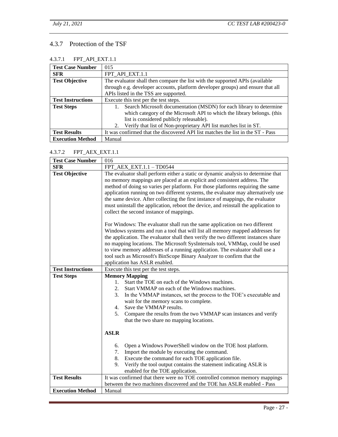## <span id="page-29-0"></span>4.3.7 Protection of the TSF

## <span id="page-29-1"></span>4.3.7.1 FPT\_API\_EXT.1.1

| <b>Test Case Number</b>  | 015                                                                             |
|--------------------------|---------------------------------------------------------------------------------|
| <b>SFR</b>               | FPT_API_EXT.1.1                                                                 |
| <b>Test Objective</b>    | The evaluator shall then compare the list with the supported APIs (available    |
|                          | through e.g. developer accounts, platform developer groups) and ensure that all |
|                          | APIs listed in the TSS are supported.                                           |
| <b>Test Instructions</b> | Execute this test per the test steps.                                           |
| <b>Test Steps</b>        | Search Microsoft documentation (MSDN) for each library to determine             |
|                          | which category of the Microsoft API to which the library belongs. (this         |
|                          | list is considered publicly releasable).                                        |
|                          | Verify that list of Non-proprietary API list matches list in ST.<br>2.          |
| <b>Test Results</b>      | It was confirmed that the discovered API list matches the list in the ST - Pass |
| <b>Execution Method</b>  | Manual                                                                          |

#### <span id="page-29-2"></span>4.3.7.2 FPT\_AEX\_EXT.1.1

| <b>Test Case Number</b>  | 016                                                                                                           |
|--------------------------|---------------------------------------------------------------------------------------------------------------|
| <b>SFR</b>               | FPT_AEX_EXT.1.1 - TD0544                                                                                      |
| <b>Test Objective</b>    | The evaluator shall perform either a static or dynamic analysis to determine that                             |
|                          | no memory mappings are placed at an explicit and consistent address. The                                      |
|                          | method of doing so varies per platform. For those platforms requiring the same                                |
|                          | application running on two different systems, the evaluator may alternatively use                             |
|                          | the same device. After collecting the first instance of mappings, the evaluator                               |
|                          | must uninstall the application, reboot the device, and reinstall the application to                           |
|                          | collect the second instance of mappings.                                                                      |
|                          | For Windows: The evaluator shall run the same application on two different                                    |
|                          | Windows systems and run a tool that will list all memory mapped addresses for                                 |
|                          | the application. The evaluator shall then verify the two different instances share                            |
|                          | no mapping locations. The Microsoft SysInternals tool, VMMap, could be used                                   |
|                          | to view memory addresses of a running application. The evaluator shall use a                                  |
|                          | tool such as Microsoft's BinScope Binary Analyzer to confirm that the                                         |
|                          | application has ASLR enabled.                                                                                 |
| <b>Test Instructions</b> | Execute this test per the test steps.                                                                         |
| <b>Test Steps</b>        | <b>Memory Mapping</b>                                                                                         |
|                          | Start the TOE on each of the Windows machines.<br>1.                                                          |
|                          | Start VMMAP on each of the Windows machines.<br>2.<br>3.                                                      |
|                          | In the VMMAP instances, set the process to the TOE's executable and<br>wait for the memory scans to complete. |
|                          | Save the VMMAP results.<br>4.                                                                                 |
|                          | Compare the results from the two VMMAP scan instances and verify<br>5.                                        |
|                          | that the two share no mapping locations.                                                                      |
|                          |                                                                                                               |
|                          | <b>ASLR</b>                                                                                                   |
|                          | Open a Windows PowerShell window on the TOE host platform.<br>6.                                              |
|                          | Import the module by executing the command.<br>7.                                                             |
|                          | 8.<br>Execute the command for each TOE application file.                                                      |
|                          | Verify the tool output contains the statement indicating ASLR is<br>9.                                        |
|                          | enabled for the TOE application.                                                                              |
| <b>Test Results</b>      | It was confirmed that there were no TOE controlled common memory mappings                                     |
|                          | between the two machines discovered and the TOE has ASLR enabled - Pass                                       |
| <b>Execution Method</b>  | Manual                                                                                                        |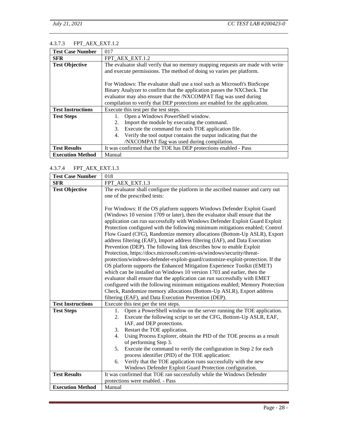## <span id="page-30-0"></span>4.3.7.3 FPT\_AEX\_EXT.1.2

| <b>Test Case Number</b>  | 017                                                                            |
|--------------------------|--------------------------------------------------------------------------------|
| <b>SFR</b>               | FPT_AEX_EXT.1.2                                                                |
| <b>Test Objective</b>    | The evaluator shall verify that no memory mapping requests are made with write |
|                          | and execute permissions. The method of doing so varies per platform.           |
|                          |                                                                                |
|                          | For Windows: The evaluator shall use a tool such as Microsoft's BinScope       |
|                          | Binary Analyzer to confirm that the application passes the NXCheck. The        |
|                          | evaluator may also ensure that the /NXCOMPAT flag was used during              |
|                          | compilation to verify that DEP protections are enabled for the application.    |
| <b>Test Instructions</b> | Execute this test per the test steps.                                          |
| <b>Test Steps</b>        | Open a Windows PowerShell window.                                              |
|                          | Import the module by executing the command.<br>2.                              |
|                          | Execute the command for each TOE application file.<br>3.                       |
|                          | Verify the tool output contains the output indicating that the<br>4.           |
|                          | /NXCOMPAT flag was used during compilation.                                    |
| <b>Test Results</b>      | It was confirmed that the TOE has DEP protections enabled - Pass               |
| <b>Execution Method</b>  | Manual                                                                         |

#### <span id="page-30-1"></span>4.3.7.4 FPT\_AEX\_EXT.1.3

| <b>Test Case Number</b>  | 018                                                                                                                                                                                                                                                                                                                                                                                                                                                                                                                                                                                                                                                                                                                                                                                                                                                                                                                                                                                                                                                                                                                                                                       |
|--------------------------|---------------------------------------------------------------------------------------------------------------------------------------------------------------------------------------------------------------------------------------------------------------------------------------------------------------------------------------------------------------------------------------------------------------------------------------------------------------------------------------------------------------------------------------------------------------------------------------------------------------------------------------------------------------------------------------------------------------------------------------------------------------------------------------------------------------------------------------------------------------------------------------------------------------------------------------------------------------------------------------------------------------------------------------------------------------------------------------------------------------------------------------------------------------------------|
| <b>SFR</b>               | FPT_AEX_EXT.1.3                                                                                                                                                                                                                                                                                                                                                                                                                                                                                                                                                                                                                                                                                                                                                                                                                                                                                                                                                                                                                                                                                                                                                           |
| <b>Test Objective</b>    | The evaluator shall configure the platform in the ascribed manner and carry out<br>one of the prescribed tests:                                                                                                                                                                                                                                                                                                                                                                                                                                                                                                                                                                                                                                                                                                                                                                                                                                                                                                                                                                                                                                                           |
|                          | For Windows: If the OS platform supports Windows Defender Exploit Guard<br>(Windows 10 version 1709 or later), then the evaluator shall ensure that the<br>application can run successfully with Windows Defender Exploit Guard Exploit<br>Protection configured with the following minimum mitigations enabled; Control<br>Flow Guard (CFG), Randomize memory allocations (Bottom-Up ASLR), Export<br>address filtering (EAF), Import address filtering (IAF), and Data Execution<br>Prevention (DEP). The following link describes how to enable Exploit<br>Protection, https://docs.microsoft.com/en-us/windows/security/threat-<br>protection/windows-defender-exploit-guard/customize-exploit-protection. If the<br>OS platform supports the Enhanced Mitigation Experience Toolkit (EMET)<br>which can be installed on Windows 10 version 1703 and earlier, then the<br>evaluator shall ensure that the application can run successfully with EMET<br>configured with the following minimum mitigations enabled; Memory Protection<br>Check, Randomize memory allocations (Bottom-Up ASLR), Export address<br>filtering (EAF), and Data Execution Prevention (DEP). |
| <b>Test Instructions</b> | Execute this test per the test steps.                                                                                                                                                                                                                                                                                                                                                                                                                                                                                                                                                                                                                                                                                                                                                                                                                                                                                                                                                                                                                                                                                                                                     |
| <b>Test Steps</b>        | Open a PowerShell window on the server running the TOE application.<br>1.<br>Execute the following script to set the CFG, Bottom-Up ASLR, EAF,<br>2.<br>IAF, and DEP protections.<br>Restart the TOE application.<br>3.<br>Using Process Explorer, obtain the PID of the TOE process as a result<br>4.<br>of performing Step 3.<br>Execute the command to verify the configuration in Step 2 for each<br>5.<br>process identifier (PID) of the TOE application:                                                                                                                                                                                                                                                                                                                                                                                                                                                                                                                                                                                                                                                                                                           |
|                          | Verify that the TOE application runs successfully with the new<br>6.<br>Windows Defender Exploit Guard Protection configuration.                                                                                                                                                                                                                                                                                                                                                                                                                                                                                                                                                                                                                                                                                                                                                                                                                                                                                                                                                                                                                                          |
| <b>Test Results</b>      | It was confirmed that TOE ran successfully while the Windows Defender                                                                                                                                                                                                                                                                                                                                                                                                                                                                                                                                                                                                                                                                                                                                                                                                                                                                                                                                                                                                                                                                                                     |
|                          | protections were enabled. - Pass                                                                                                                                                                                                                                                                                                                                                                                                                                                                                                                                                                                                                                                                                                                                                                                                                                                                                                                                                                                                                                                                                                                                          |
| <b>Execution Method</b>  | Manual                                                                                                                                                                                                                                                                                                                                                                                                                                                                                                                                                                                                                                                                                                                                                                                                                                                                                                                                                                                                                                                                                                                                                                    |
|                          |                                                                                                                                                                                                                                                                                                                                                                                                                                                                                                                                                                                                                                                                                                                                                                                                                                                                                                                                                                                                                                                                                                                                                                           |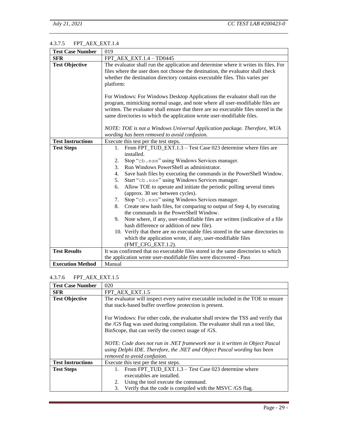## <span id="page-31-0"></span>4.3.7.5 FPT\_AEX\_EXT.1.4

| <b>Test Case Number</b>  | 019                                                                                                                                                                                                                                                                                                                                                                                                                                                                                                                                                                                                                                                                                                                                                                                                                                                                                                                      |
|--------------------------|--------------------------------------------------------------------------------------------------------------------------------------------------------------------------------------------------------------------------------------------------------------------------------------------------------------------------------------------------------------------------------------------------------------------------------------------------------------------------------------------------------------------------------------------------------------------------------------------------------------------------------------------------------------------------------------------------------------------------------------------------------------------------------------------------------------------------------------------------------------------------------------------------------------------------|
| <b>SFR</b>               | FPT_AEX_EXT.1.4 - TD0445                                                                                                                                                                                                                                                                                                                                                                                                                                                                                                                                                                                                                                                                                                                                                                                                                                                                                                 |
| <b>Test Objective</b>    | The evaluator shall run the application and determine where it writes its files. For<br>files where the user does not choose the destination, the evaluator shall check<br>whether the destination directory contains executable files. This varies per<br>platform:                                                                                                                                                                                                                                                                                                                                                                                                                                                                                                                                                                                                                                                     |
|                          | For Windows: For Windows Desktop Applications the evaluator shall run the<br>program, mimicking normal usage, and note where all user-modifiable files are<br>written. The evaluator shall ensure that there are no executable files stored in the<br>same directories to which the application wrote user-modifiable files.                                                                                                                                                                                                                                                                                                                                                                                                                                                                                                                                                                                             |
|                          | NOTE: TOE is not a Windows Universal Application package. Therefore, WUA                                                                                                                                                                                                                                                                                                                                                                                                                                                                                                                                                                                                                                                                                                                                                                                                                                                 |
|                          | wording has been removed to avoid confusion.                                                                                                                                                                                                                                                                                                                                                                                                                                                                                                                                                                                                                                                                                                                                                                                                                                                                             |
| <b>Test Instructions</b> | Execute this test per the test steps.                                                                                                                                                                                                                                                                                                                                                                                                                                                                                                                                                                                                                                                                                                                                                                                                                                                                                    |
| <b>Test Steps</b>        | From FPT_TUD_EXT.1.3 - Test Case 023 determine where files are<br>1.<br>installed.<br>Stop "cb. exe" using Windows Services manager.<br>2.<br>Run Windows PowerShell as administrator.<br>3.<br>Save hash files by executing the commands in the PowerShell Window.<br>4.<br>Start "cb. exe" using Windows Services manager.<br>5.<br>Allow TOE to operate and initiate the periodic polling several times<br>6.<br>(approx. 30 sec between cycles).<br>Stop "cb.exe" using Windows Services manager.<br>7.<br>Create new hash files, for comparing to output of Step 4, by executing<br>8.<br>the commands in the PowerShell Window.<br>Note where, if any, user-modifiable files are written (indicative of a file<br>9.<br>hash difference or addition of new file).<br>10. Verify that there are no executable files stored in the same directories to<br>which the application wrote, if any, user-modifiable files |
| <b>Test Results</b>      | (FMT_CFG_EXT.1.2).<br>It was confirmed that no executable files stored in the same directories to which                                                                                                                                                                                                                                                                                                                                                                                                                                                                                                                                                                                                                                                                                                                                                                                                                  |
|                          | the application wrote user-modifiable files were discovered - Pass                                                                                                                                                                                                                                                                                                                                                                                                                                                                                                                                                                                                                                                                                                                                                                                                                                                       |
| <b>Execution Method</b>  | Manual                                                                                                                                                                                                                                                                                                                                                                                                                                                                                                                                                                                                                                                                                                                                                                                                                                                                                                                   |

#### <span id="page-31-1"></span>4.3.7.6 FPT\_AEX\_EXT.1.5

| <b>Test Case Number</b>  | 020                                                                                                                                                                                                                                                                                                                                                                                                                 |
|--------------------------|---------------------------------------------------------------------------------------------------------------------------------------------------------------------------------------------------------------------------------------------------------------------------------------------------------------------------------------------------------------------------------------------------------------------|
| <b>SFR</b>               | FPT_AEX_EXT.1.5                                                                                                                                                                                                                                                                                                                                                                                                     |
| <b>Test Objective</b>    | The evaluator will inspect every native executable included in the TOE to ensure                                                                                                                                                                                                                                                                                                                                    |
|                          | that stack-based buffer overflow protection is present.                                                                                                                                                                                                                                                                                                                                                             |
|                          | For Windows: For other code, the evaluator shall review the TSS and verify that<br>the /GS flag was used during compilation. The evaluator shall run a tool like,<br>BinScope, that can verify the correct usage of /GS.<br>NOTE: Code does not run in .NET framework nor is it written in Object Pascal<br>using Delphi IDE. Therefore, the .NET and Object Pascal wording has been<br>removed to avoid confusion. |
| <b>Test Instructions</b> | Execute this test per the test steps.                                                                                                                                                                                                                                                                                                                                                                               |
| <b>Test Steps</b>        | From FPT TUD EXT.1.3 – Test Case 023 determine where<br>1.                                                                                                                                                                                                                                                                                                                                                          |
|                          | executables are installed.                                                                                                                                                                                                                                                                                                                                                                                          |
|                          | Using the tool execute the command.<br>2.                                                                                                                                                                                                                                                                                                                                                                           |
|                          | Verify that the code is compiled with the MSVC/GS flag.<br>3.                                                                                                                                                                                                                                                                                                                                                       |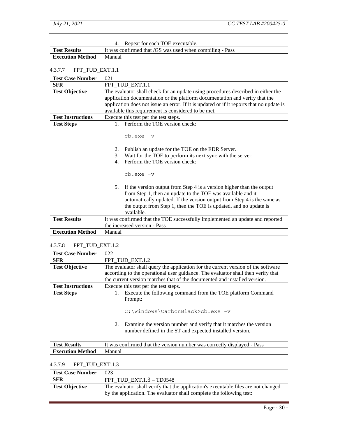|                         | Repeat for each TOE executable.                          |
|-------------------------|----------------------------------------------------------|
| <b>Test Results</b>     | It was confirmed that /GS was used when compiling - Pass |
| <b>Execution Method</b> | Manual                                                   |

## <span id="page-32-0"></span>4.3.7.7 FPT\_TUD\_EXT.1.1

| <b>Test Case Number</b>  | 021                                                                                                                                                                                                                                                                                                   |
|--------------------------|-------------------------------------------------------------------------------------------------------------------------------------------------------------------------------------------------------------------------------------------------------------------------------------------------------|
| <b>SFR</b>               | FPT_TUD_EXT.1.1                                                                                                                                                                                                                                                                                       |
| <b>Test Objective</b>    | The evaluator shall check for an update using procedures described in either the                                                                                                                                                                                                                      |
|                          | application documentation or the platform documentation and verify that the                                                                                                                                                                                                                           |
|                          | application does not issue an error. If it is updated or if it reports that no update is                                                                                                                                                                                                              |
|                          | available this requirement is considered to be met.                                                                                                                                                                                                                                                   |
| <b>Test Instructions</b> | Execute this test per the test steps.                                                                                                                                                                                                                                                                 |
| <b>Test Steps</b>        | 1. Perform the TOE version check:                                                                                                                                                                                                                                                                     |
|                          | cb.exe -v                                                                                                                                                                                                                                                                                             |
|                          | Publish an update for the TOE on the EDR Server.<br>2.                                                                                                                                                                                                                                                |
|                          | 3.<br>Wait for the TOE to perform its next sync with the server.                                                                                                                                                                                                                                      |
|                          | Perform the TOE version check:<br>$\mathbf{4}$ .                                                                                                                                                                                                                                                      |
|                          | cb.exe -v                                                                                                                                                                                                                                                                                             |
|                          | 5. If the version output from Step 4 is a version higher than the output<br>from Step 1, then an update to the TOE was available and it<br>automatically updated. If the version output from Step 4 is the same as<br>the output from Step 1, then the TOE is updated, and no update is<br>available. |
| <b>Test Results</b>      | It was confirmed that the TOE successfully implemented an update and reported                                                                                                                                                                                                                         |
|                          | the increased version - Pass                                                                                                                                                                                                                                                                          |
| <b>Execution Method</b>  | Manual                                                                                                                                                                                                                                                                                                |

## <span id="page-32-1"></span>4.3.7.8 FPT\_TUD\_EXT.1.2

| <b>Test Case Number</b>  | 022                                                                                                                                                                     |
|--------------------------|-------------------------------------------------------------------------------------------------------------------------------------------------------------------------|
| <b>SFR</b>               | FPT_TUD_EXT.1.2                                                                                                                                                         |
| <b>Test Objective</b>    | The evaluator shall query the application for the current version of the software                                                                                       |
|                          | according to the operational user guidance. The evaluator shall then verify that                                                                                        |
|                          | the current version matches that of the documented and installed version.                                                                                               |
| <b>Test Instructions</b> | Execute this test per the test steps.                                                                                                                                   |
| <b>Test Steps</b>        | Execute the following command from the TOE platform Command<br>1.                                                                                                       |
|                          | Prompt:                                                                                                                                                                 |
|                          | C:\Windows\CarbonBlack>cb.exe -v<br>Examine the version number and verify that it matches the version<br>2.<br>number defined in the ST and expected installed version. |
| <b>Test Results</b>      | It was confirmed that the version number was correctly displayed - Pass                                                                                                 |
| <b>Execution Method</b>  | Manual                                                                                                                                                                  |

## <span id="page-32-2"></span>4.3.7.9 FPT\_TUD\_EXT.1.3

| <b>Test Case Number</b> | 023                                                                                |
|-------------------------|------------------------------------------------------------------------------------|
| SFR                     | FPT TUD EXT. $1.3 - T$ D0548                                                       |
| <b>Test Objective</b>   | The evaluator shall verify that the application's executable files are not changed |
|                         | by the application. The evaluator shall complete the following test:               |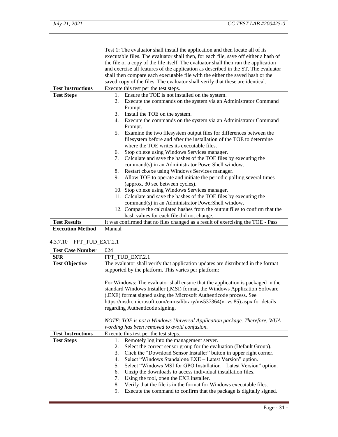|                          | Test 1: The evaluator shall install the application and then locate all of its<br>executable files. The evaluator shall then, for each file, save off either a hash of<br>the file or a copy of the file itself. The evaluator shall then run the application<br>and exercise all features of the application as described in the ST. The evaluator<br>shall then compare each executable file with the either the saved hash or the<br>saved copy of the files. The evaluator shall verify that these are identical. |
|--------------------------|-----------------------------------------------------------------------------------------------------------------------------------------------------------------------------------------------------------------------------------------------------------------------------------------------------------------------------------------------------------------------------------------------------------------------------------------------------------------------------------------------------------------------|
| <b>Test Instructions</b> | Execute this test per the test steps.                                                                                                                                                                                                                                                                                                                                                                                                                                                                                 |
| <b>Test Steps</b>        | 1. Ensure the TOE is not installed on the system.                                                                                                                                                                                                                                                                                                                                                                                                                                                                     |
|                          | Execute the commands on the system via an Administrator Command<br>2.                                                                                                                                                                                                                                                                                                                                                                                                                                                 |
|                          | Prompt.                                                                                                                                                                                                                                                                                                                                                                                                                                                                                                               |
|                          | Install the TOE on the system.<br>3.                                                                                                                                                                                                                                                                                                                                                                                                                                                                                  |
|                          | Execute the commands on the system via an Administrator Command<br>4.                                                                                                                                                                                                                                                                                                                                                                                                                                                 |
|                          | Prompt.                                                                                                                                                                                                                                                                                                                                                                                                                                                                                                               |
|                          | Examine the two filesystem output files for differences between the<br>5.                                                                                                                                                                                                                                                                                                                                                                                                                                             |
|                          | filesystem before and after the installation of the TOE to determine                                                                                                                                                                                                                                                                                                                                                                                                                                                  |
|                          | where the TOE writes its executable files.                                                                                                                                                                                                                                                                                                                                                                                                                                                                            |
|                          | Stop cb.exe using Windows Services manager.<br>6.                                                                                                                                                                                                                                                                                                                                                                                                                                                                     |
|                          | Calculate and save the hashes of the TOE files by executing the<br>7.<br>command(s) in an Administrator PowerShell window.                                                                                                                                                                                                                                                                                                                                                                                            |
|                          | Restart cb.exe using Windows Services manager.<br>8.                                                                                                                                                                                                                                                                                                                                                                                                                                                                  |
|                          | Allow TOE to operate and initiate the periodic polling several times<br>9.                                                                                                                                                                                                                                                                                                                                                                                                                                            |
|                          | (approx. 30 sec between cycles).                                                                                                                                                                                                                                                                                                                                                                                                                                                                                      |
|                          | 10. Stop cb.exe using Windows Services manager.                                                                                                                                                                                                                                                                                                                                                                                                                                                                       |
|                          | 11. Calculate and save the hashes of the TOE files by executing the                                                                                                                                                                                                                                                                                                                                                                                                                                                   |
|                          | command(s) in an Administrator PowerShell window.                                                                                                                                                                                                                                                                                                                                                                                                                                                                     |
|                          | 12. Compare the calculated hashes from the output files to confirm that the                                                                                                                                                                                                                                                                                                                                                                                                                                           |
|                          | hash values for each file did not change.                                                                                                                                                                                                                                                                                                                                                                                                                                                                             |
| <b>Test Results</b>      | It was confirmed that no files changed as a result of exercising the TOE - Pass                                                                                                                                                                                                                                                                                                                                                                                                                                       |
| <b>Execution Method</b>  | Manual                                                                                                                                                                                                                                                                                                                                                                                                                                                                                                                |

#### <span id="page-33-0"></span>4.3.7.10 FPT\_TUD\_EXT.2.1

| <b>Test Case Number</b>  | 024                                                                               |
|--------------------------|-----------------------------------------------------------------------------------|
| <b>SFR</b>               | FPT_TUD_EXT.2.1                                                                   |
| <b>Test Objective</b>    | The evaluator shall verify that application updates are distributed in the format |
|                          | supported by the platform. This varies per platform:                              |
|                          |                                                                                   |
|                          | For Windows: The evaluator shall ensure that the application is packaged in the   |
|                          | standard Windows Installer (.MSI) format, the Windows Application Software        |
|                          | (.EXE) format signed using the Microsoft Authenticode process. See                |
|                          | https://msdn.microsoft.com/en-us/library/ms537364(v=vs.85).aspx for details       |
|                          | regarding Authenticode signing.                                                   |
|                          |                                                                                   |
|                          | NOTE: TOE is not a Windows Universal Application package. Therefore, WUA          |
|                          | wording has been removed to avoid confusion.                                      |
| <b>Test Instructions</b> | Execute this test per the test steps.                                             |
| <b>Test Steps</b>        | Remotely log into the management server.<br>1.                                    |
|                          | Select the correct sensor group for the evaluation (Default Group).<br>2.         |
|                          | Click the "Download Sensor Installer" button in upper right corner.<br>3.         |
|                          | Select "Windows Standalone EXE - Latest Version" option.<br>4.                    |
|                          | Select "Windows MSI for GPO Installation - Latest Version" option.<br>5.          |
|                          | Unzip the downloads to access individual installation files.<br>6.                |
|                          | Using the tool, open the EXE installer.<br>7.                                     |
|                          | Verify that the file is in the format for Windows executable files.<br>8.         |
|                          | Execute the command to confirm that the package is digitally signed.<br>9.        |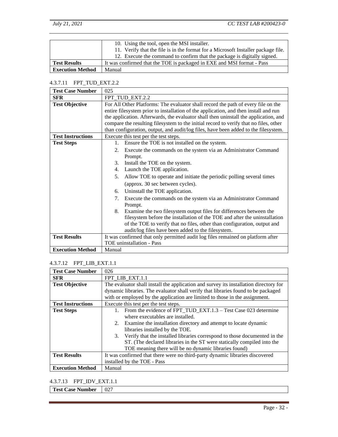|                         | 10. Using the tool, open the MSI installer.<br>11. Verify that the file is in the format for a Microsoft Installer package file.                   |
|-------------------------|----------------------------------------------------------------------------------------------------------------------------------------------------|
| <b>Test Results</b>     | 12. Execute the command to confirm that the package is digitally signed.<br>It was confirmed that the TOE is packaged in EXE and MSI format - Pass |
| <b>Execution Method</b> | Manual                                                                                                                                             |

#### <span id="page-34-0"></span>4.3.7.11 FPT\_TUD\_EXT.2.2

| <b>Test Case Number</b>  | 025                                                                                   |
|--------------------------|---------------------------------------------------------------------------------------|
| <b>SFR</b>               | FPT TUD EXT.2.2                                                                       |
| <b>Test Objective</b>    | For All Other Platforms: The evaluator shall record the path of every file on the     |
|                          | entire filesystem prior to installation of the application, and then install and run  |
|                          | the application. Afterwards, the evaluator shall then uninstall the application, and  |
|                          | compare the resulting filesystem to the initial record to verify that no files, other |
|                          | than configuration, output, and audit/log files, have been added to the filesystem.   |
| <b>Test Instructions</b> | Execute this test per the test steps.                                                 |
| <b>Test Steps</b>        | Ensure the TOE is not installed on the system.<br>$1_{\cdot}$                         |
|                          | Execute the commands on the system via an Administrator Command<br>2.                 |
|                          | Prompt.                                                                               |
|                          | Install the TOE on the system.<br>3.                                                  |
|                          | Launch the TOE application.<br>4.                                                     |
|                          | Allow TOE to operate and initiate the periodic polling several times<br>5.            |
|                          | (approx. 30 sec between cycles).                                                      |
|                          | Uninstall the TOE application.<br>6.                                                  |
|                          | Execute the commands on the system via an Administrator Command<br>7.                 |
|                          | Prompt.                                                                               |
|                          | Examine the two filesystem output files for differences between the<br>8.             |
|                          | filesystem before the installation of the TOE and after the uninstallation            |
|                          | of the TOE to verify that no files, other than configuration, output and              |
|                          | audit/log files have been added to the filesystem.                                    |
| <b>Test Results</b>      | It was confirmed that only permitted audit log files remained on platform after       |
|                          | TOE uninstallation - Pass                                                             |
| <b>Execution Method</b>  | Manual                                                                                |

#### <span id="page-34-1"></span>4.3.7.12 FPT\_LIB\_EXT.1.1

| <b>Test Case Number</b>  | 026                                                                                   |
|--------------------------|---------------------------------------------------------------------------------------|
| <b>SFR</b>               | FPT_LIB_EXT.1.1                                                                       |
| <b>Test Objective</b>    | The evaluator shall install the application and survey its installation directory for |
|                          | dynamic libraries. The evaluator shall verify that libraries found to be packaged     |
|                          | with or employed by the application are limited to those in the assignment.           |
| <b>Test Instructions</b> | Execute this test per the test steps.                                                 |
| <b>Test Steps</b>        | From the evidence of FPT TUD EXT.1.3 – Test Case 023 determine                        |
|                          | where executables are installed.                                                      |
|                          | 2. Examine the installation directory and attempt to locate dynamic                   |
|                          | libraries installed by the TOE.                                                       |
|                          | 3. Verify that the installed libraries correspond to those documented in the          |
|                          | ST. (The declared libraries in the ST were statically compiled into the               |
|                          | TOE meaning there will be no dynamic libraries found)                                 |
| <b>Test Results</b>      | It was confirmed that there were no third-party dynamic libraries discovered          |
|                          | installed by the TOE - Pass                                                           |
| <b>Execution Method</b>  | Manual                                                                                |

## <span id="page-34-2"></span>4.3.7.13 FPT\_IDV\_EXT.1.1

**Test Case Number** 027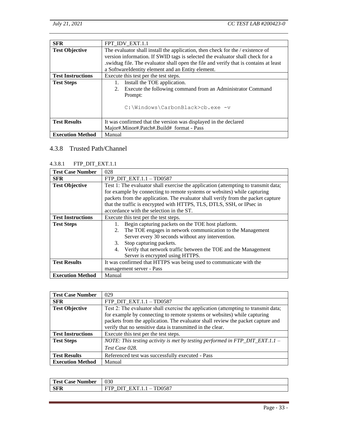| <b>SFR</b>               | FPT IDV EXT.1.1                                                                       |
|--------------------------|---------------------------------------------------------------------------------------|
| <b>Test Objective</b>    | The evaluator shall install the application, then check for the / existence of        |
|                          | version information. If SWID tags is selected the evaluator shall check for a         |
|                          | swidtag file. The evaluator shall open the file and verify that is contains at least. |
|                          | a SoftwareIdentity element and an Entity element.                                     |
| <b>Test Instructions</b> | Execute this test per the test steps.                                                 |
| <b>Test Steps</b>        | Install the TOE application.<br>Ι.                                                    |
|                          | Execute the following command from an Administrator Command<br>2.                     |
|                          | Prompt:                                                                               |
|                          | C:\Windows\CarbonBlack>cb.exe -v                                                      |
| <b>Test Results</b>      | It was confirmed that the version was displayed in the declared                       |
|                          | Major#.Minor#.Patch#.Build# format - Pass                                             |
| <b>Execution Method</b>  | Manual                                                                                |

## <span id="page-35-0"></span>4.3.8 Trusted Path/Channel

#### <span id="page-35-1"></span>4.3.8.1 FTP\_DIT\_EXT.1.1

| <b>Test Case Number</b>  | 028                                                                                |
|--------------------------|------------------------------------------------------------------------------------|
| <b>SFR</b>               | FTP_DIT_EXT.1.1 - TD0587                                                           |
| <b>Test Objective</b>    | Test 1: The evaluator shall exercise the application (attempting to transmit data; |
|                          | for example by connecting to remote systems or websites) while capturing           |
|                          | packets from the application. The evaluator shall verify from the packet capture   |
|                          | that the traffic is encrypted with HTTPS, TLS, DTLS, SSH, or IPsec in              |
|                          | accordance with the selection in the ST.                                           |
| <b>Test Instructions</b> | Execute this test per the test steps.                                              |
| <b>Test Steps</b>        | Begin capturing packets on the TOE host platform.                                  |
|                          | The TOE engages in network communication to the Management<br>2.                   |
|                          | Server every 30 seconds without any intervention.                                  |
|                          | Stop capturing packets.<br>3.                                                      |
|                          | Verify that network traffic between the TOE and the Management<br>4.               |
|                          | Server is encrypted using HTTPS.                                                   |
| <b>Test Results</b>      | It was confirmed that HTTPS was being used to communicate with the                 |
|                          | management server - Pass                                                           |
| <b>Execution Method</b>  | Manual                                                                             |

| <b>Test Case Number</b>  | 029                                                                                                                                                            |
|--------------------------|----------------------------------------------------------------------------------------------------------------------------------------------------------------|
| <b>SFR</b>               | FTP DIT $EXT.1.1 - T$ D0587                                                                                                                                    |
| <b>Test Objective</b>    | Test 2: The evaluator shall exercise the application (attempting to transmit data;<br>for example by connecting to remote systems or websites) while capturing |
|                          | packets from the application. The evaluator shall review the packet capture and<br>verify that no sensitive data is transmitted in the clear.                  |
| <b>Test Instructions</b> | Execute this test per the test steps.                                                                                                                          |
| <b>Test Steps</b>        | NOTE: This testing activity is met by testing performed in FTP_DIT_EXT.1.1 –<br>Test Case 028.                                                                 |
| <b>Test Results</b>      | Referenced test was successfully executed - Pass                                                                                                               |
| <b>Execution Method</b>  | Manual                                                                                                                                                         |

| Test<br>Jumher<br>Case<br>11 DC F<br>.co | 020<br>U3U                                                                 |
|------------------------------------------|----------------------------------------------------------------------------|
| <b>SFR</b>                               | 0507<br>м<br>UJO 1<br>$\overline{\phantom{a}}$<br>$\overline{\phantom{0}}$ |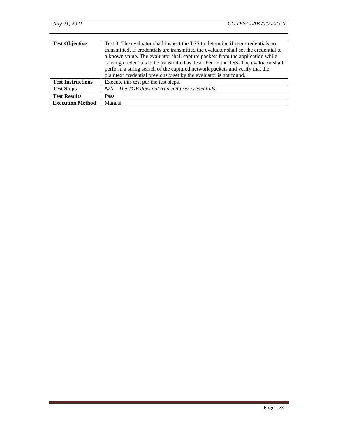| <b>Test Objective</b>    | Test 3: The evaluator shall inspect the TSS to determine if user credentials are<br>transmitted. If credentials are transmitted the evaluator shall set the credential to<br>a known value. The evaluator shall capture packets from the application while<br>causing credentials to be transmitted as described in the TSS. The evaluator shall<br>perform a string search of the captured network packets and verify that the<br>plaintext credential previously set by the evaluator is not found. |
|--------------------------|-------------------------------------------------------------------------------------------------------------------------------------------------------------------------------------------------------------------------------------------------------------------------------------------------------------------------------------------------------------------------------------------------------------------------------------------------------------------------------------------------------|
| <b>Test Instructions</b> | Execute this test per the test steps.                                                                                                                                                                                                                                                                                                                                                                                                                                                                 |
| <b>Test Steps</b>        | $N/A$ – The TOE does not transmit user credentials.                                                                                                                                                                                                                                                                                                                                                                                                                                                   |
| <b>Test Results</b>      | Pass                                                                                                                                                                                                                                                                                                                                                                                                                                                                                                  |
| <b>Execution Method</b>  | Manual                                                                                                                                                                                                                                                                                                                                                                                                                                                                                                |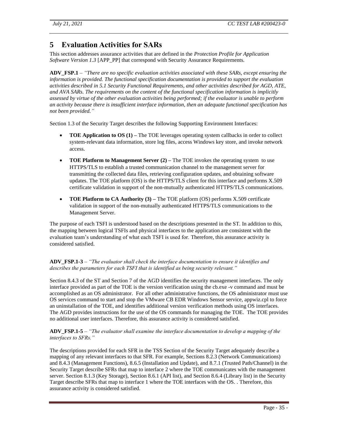## <span id="page-37-0"></span>**5 Evaluation Activities for SARs**

This section addresses assurance activities that are defined in the *Protection Profile for Application Software Version 1.3* [APP\_PP] that correspond with Security Assurance Requirements.

**ADV\_FSP.1** – *"There are no specific evaluation activities associated with these SARs, except ensuring the information is provided. The functional specification documentation is provided to support the evaluation activities described in 5.1 Security Functional Requirements, and other activities described for AGD, ATE, and AVA SARs. The requirements on the content of the functional specification information is implicitly assessed by virtue of the other evaluation activities being performed; if the evaluator is unable to perform an activity because there is insufficient interface information, then an adequate functional specification has not been provided."*

Section 1.3 of the Security Target describes the following Supporting Environment Interfaces:

- **TOE Application to OS (1)** The TOE leverages operating system callbacks in order to collect system-relevant data information, store log files, access Windows key store, and invoke network access.
- **TOE Platform to Management Server (2) –** The TOE invokes the operating system to use HTTPS/TLS to establish a trusted communication channel to the management server for transmitting the collected data files, retrieving configuration updates, and obtaining software updates. The TOE platform (OS) is the HTTPS/TLS client for this interface and performs X.509 certificate validation in support of the non-mutually authenticated HTTPS/TLS communications.
- **TOE Platform to CA Authority (3)** The TOE platform (OS) performs X.509 certificate validation in support of the non-mutually authenticated HTTPS/TLS communications to the Management Server.

The purpose of each TSFI is understood based on the descriptions presented in the ST. In addition to this, the mapping between logical TSFIs and physical interfaces to the application are consistent with the evaluation team's understanding of what each TSFI is used for. Therefore, this assurance activity is considered satisfied.

#### **ADV\_FSP.1-3** – *"The evaluator shall check the interface documentation to ensure it identifies and describes the parameters for each TSFI that is identified as being security relevant."*

Section 8.4.3 of the ST and Section 7 of the AGD identifies the security management interfaces. The only interface provided as part of the TOE is the version verification using the cb.exe -v command and must be accomplished as an OS administrator. For all other administrative functions, the OS administrator must use OS services command to start and stop the VMware CB EDR Windows Sensor service, appwiz.cpl to force an uninstallation of the TOE, and identifies additional version verification methods using OS interfaces. The AGD provides instructions for the use of the OS commands for managing the TOE. The TOE provides no additional user interfaces. Therefore, this assurance activity is considered satisfied.

#### **ADV\_FSP.1-5** – *"The evaluator shall examine the interface documentation to develop a mapping of the interfaces to SFRs."*

The descriptions provided for each SFR in the TSS Section of the Security Target adequately describe a mapping of any relevant interfaces to that SFR. For example, Sections 8.2.3 (Network Communications) and 8.4.3 (Management Functions), 8.6.5 (Installation and Update), and 8.7.1 (Trusted Path/Channel) in the Security Target describe SFRs that map to interface 2 where the TOE communicates with the management server. Section 8.1.3 (Key Storage), Section 8.6.1 (API list), and Section 8.6.4 (Library list) in the Security Target describe SFRs that map to interface 1 where the TOE interfaces with the OS. . Therefore, this assurance activity is considered satisfied.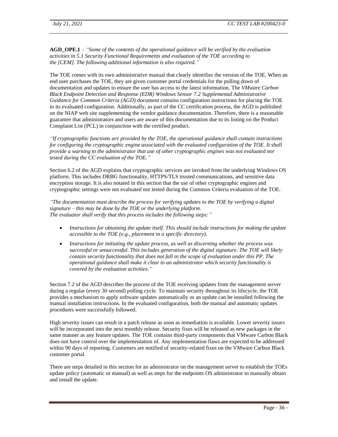**AGD\_OPE.1** – *"Some of the contents of the operational guidance will be verified by the evaluation activities in 5.1 Security Functional Requirements and evaluation of the [TOE](https://www.niap-ccevs.org/MMO/PP/-429-/#abbr_TOE) according to the [CEM]. The following additional information is also required."*

The TOE comes with its own administrative manual that clearly identifies the version of the TOE. When an end user purchases the TOE, they are given customer portal credentials for the pulling down of documentation and updates to ensure the user has access to the latest information. The *VMware Carbon Black Endpoint Detection and Response (EDR) Windows Sensor 7.2 Supplemental Administrative Guidance for Common Criteria (AGD)* document contains configuration instructions for placing the TOE in its evaluated configuration. Additionally, as part of the CC certification process, the AGD is published on the NIAP web site supplementing the vendor guidance documentation. Therefore, there is a reasonable guarantee that administrators and users are aware of this documentation due to its listing on the Product Complaint List (PCL) in conjunction with the certified product.

*"If cryptographic functions are provided by the [TOE,](https://www.niap-ccevs.org/MMO/PP/-429-/#abbr_TOE) the operational guidance shall contain instructions for configuring the cryptographic engine associated with the evaluated configuration of the [TOE.](https://www.niap-ccevs.org/MMO/PP/-429-/#abbr_TOE) It shall provide a warning to the administrator that use of other cryptographic engines was not evaluated nor tested during the CC evaluation of the [TOE.](https://www.niap-ccevs.org/MMO/PP/-429-/#abbr_TOE)"*

Section 6.2 of the AGD explains that cryptographic services are invoked from the underlying Windows OS platform. This includes DRBG functionality, HTTPS/TLS trusted communications, and sensitive data encryption storage. It is also notated in this section that the use of other cryptographic engines and cryptographic settings were not evaluated nor tested during the Common Criteria evaluation of the TOE.

*"The documentation must describe the process for verifying updates to the [TOE](https://www.niap-ccevs.org/MMO/PP/-429-/#abbr_TOE) by verifying a digital signature – this may be done by the [TOE](https://www.niap-ccevs.org/MMO/PP/-429-/#abbr_TOE) or the underlying platform. The evaluator shall verify that this process includes the following steps:"*

- *Instructions for obtaining the update itself. This should include instructions for making the update accessible to th[e TOE](https://www.niap-ccevs.org/MMO/PP/-429-/#abbr_TOE) (e.g., placement in a specific directory).*
- *Instructions for initiating the update process, as well as discerning whether the process was successful or unsuccessful. This includes generation of the digital signature. The [TOE](https://www.niap-ccevs.org/MMO/PP/-429-/#abbr_TOE) will likely contain security functionality that does not fall in the scope of evaluation under this PP. The operational guidance shall make it clear to an administrator which security functionality is covered by the evaluation activities."*

Section 7.2 of the AGD describes the process of the TOE receiving updates from the management server during a regular (every 30 second) polling cycle. To maintain security throughout its lifecycle, the TOE provides a mechanism to apply software updates automatically or an update can be installed following the manual installation instructions. In the evaluated configuration, both the manual and automatic updates procedures were successfully followed.

High severity issues can result in a patch release as soon as remediation is available. Lower severity issues will be incorporated into the next monthly release. Security fixes will be released as new packages in the same manner as any feature updates. The TOE contains third-party components that VMware Carbon Black does not have control over the implementation of. Any implementation flaws are expected to be addressed within 90 days of reporting. Customers are notified of security-related fixes on the VMware Carbon Black customer portal.

There are steps detailed in this section for an administrator on the management server to establish the TOEs update policy (automatic or manual) as well as steps for the endpoints OS administrator to manually obtain and install the update.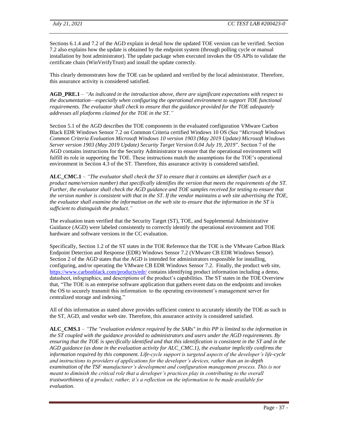Sections 6.1.4 and 7.2 of the AGD explain in detail how the updated TOE version can be verified. Section 7.2 also explains how the update is obtained by the endpoint system (through polling cycle or manual installation by host administrator). The update package when executed invokes the OS APIs to validate the certificate chain (WinVerifyTrust) and install the update correctly.

This clearly demonstrates how the TOE can be updated and verified by the local administrator. Therefore, this assurance activity is considered satisfied.

**AGD\_PRE.1** – *"As indicated in the introduction above, there are significant expectations with respect to the documentation—especially when configuring the operational environment to support [TOE](https://www.niap-ccevs.org/MMO/PP/-429-/#abbr_TOE) functional requirements. The evaluator shall check to ensure that the guidance provided for th[e TOE](https://www.niap-ccevs.org/MMO/PP/-429-/#abbr_TOE) adequately addresses all platforms claimed for the [TOE](https://www.niap-ccevs.org/MMO/PP/-429-/#abbr_TOE) in the [ST.](https://www.niap-ccevs.org/MMO/PP/-429-/#abbr_ST)"*

Section 5.1 of the AGD describes the TOE components in the evaluated configuration VMware Carbon Black EDR Windows Sensor 7.2 on Common Criteria certified Windows 10 OS (See "*Microsoft Windows Common Criteria Evaluation Microsoft Windows 10 version 1903 (May 2019 Update) Microsoft Windows Server version 1903 (May 2019 Update) Security Target Version 0.04 July 19, 2019*". Section 7 of the AGD contains instructions for the Security Administrator to ensure that the operational environment will fulfill its role in supporting the TOE. These instructions match the assumptions for the TOE's operational environment in Section 4.3 of the ST. Therefore, this assurance activity is considered satisfied.

**ALC\_CMC.1** – *"The evaluator shall check the [ST](https://www.niap-ccevs.org/MMO/PP/-429-/#abbr_ST) to ensure that it contains an identifier (such as a product name/version number) that specifically identifies the version that meets the requirements of th[e ST.](https://www.niap-ccevs.org/MMO/PP/-429-/#abbr_ST) Further, the evaluator shall check the AGD guidance and [TOE](https://www.niap-ccevs.org/MMO/PP/-429-/#abbr_TOE) samples received for testing to ensure that the version number is consistent with that in the [ST.](https://www.niap-ccevs.org/MMO/PP/-429-/#abbr_ST) If the vendor maintains a web site advertising the [TOE,](https://www.niap-ccevs.org/MMO/PP/-429-/#abbr_TOE) the evaluator shall examine the information on the web site to ensure that the information in the [ST](https://www.niap-ccevs.org/MMO/PP/-429-/#abbr_ST) is sufficient to distinguish the product."*

The evaluation team verified that the Security Target (ST), TOE, and Supplemental Administrative Guidance (AGD) were labeled consistently to correctly identify the operational environment and TOE hardware and software versions in the CC evaluation.

Specifically, Section 1.2 of the ST states in the TOE Reference that the TOE is the VMware Carbon Black Endpoint Detection and Response (EDR) Windows Sensor 7.2 (VMware CB EDR Windows Sensor). Section 2 of the AGD states that the AGD is intended for administrators responsible for installing, configuring, and/or operating the VMware CB EDR Windows Sensor 7.2. Finally, the product web site, <https://www.carbonblack.com/products/edr/> contains identifying product information including a demo, datasheet, infographics, and descriptions of the product's capabilities. The ST states in the TOE Overview that, "The TOE is an enterprise software application that gathers event data on the endpoints and invokes the OS to securely transmit this information to the operating environment's management server for centralized storage and indexing."

All of this information as stated above provides sufficient context to accurately identify the TOE as such in the ST, AGD, and vendor web site. Therefore, this assurance activity is considered satisfied.

**ALC\_CMS.1** – *"The "evaluation evidence required by the SARs" in this PP is limited to the information in th[e ST](https://www.niap-ccevs.org/MMO/PP/-429-/#abbr_ST) coupled with the guidance provided to administrators and users under the AGD requirements. By ensuring that the [TOE](https://www.niap-ccevs.org/MMO/PP/-429-/#abbr_TOE) is specifically identified and that this identification is consistent in the [ST](https://www.niap-ccevs.org/MMO/PP/-429-/#abbr_ST) and in the AGD guidance (as done in the evaluation activity for ALC\_CMC.1), the evaluator implicitly confirms the information required by this component. Life-cycle support is targeted aspects of the developer's life-cycle and instructions to providers of applications for the developer's devices, rather than an in-depth examination of the [TSF](https://www.niap-ccevs.org/MMO/PP/-429-/#abbr_TSF) manufacturer's development and configuration management process. This is not meant to diminish the critical role that a developer's practices play in contributing to the overall trustworthiness of a product; rather, it's a reflection on the information to be made available for evaluation.*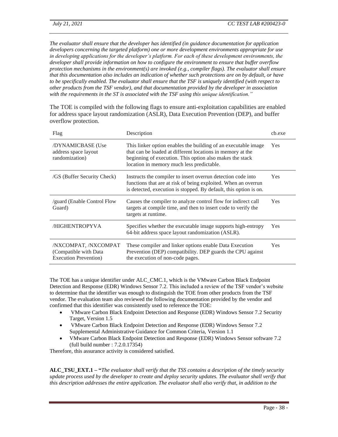*The evaluator shall ensure that the developer has identified (in guidance documentation for application developers concerning the targeted platform) one or more development environments appropriate for use in developing applications for the developer's platform. For each of these development environments, the developer shall provide information on how to configure the environment to ensure that buffer overflow protection mechanisms in the environment(s) are invoked (e.g., compiler flags). The evaluator shall ensure that this documentation also includes an indication of whether such protections are on by default, or have to be specifically enabled. The evaluator shall ensure that the [TSF](https://www.niap-ccevs.org/MMO/PP/-429-/#abbr_TSF) is uniquely identified (with respect to other products from the [TSF](https://www.niap-ccevs.org/MMO/PP/-429-/#abbr_TSF) vendor), and that documentation provided by the developer in association with the requirements in th[e ST](https://www.niap-ccevs.org/MMO/PP/-429-/#abbr_ST) is associated with the [TSF](https://www.niap-ccevs.org/MMO/PP/-429-/#abbr_TSF) using this unique identification."*

The TOE is compiled with the following flags to ensure anti-exploitation capabilities are enabled for address space layout randomization (ASLR), Data Execution Prevention (DEP), and buffer overflow protection.

| Flag                                                                    | Description                                                                                                                                                                                                                           | ch.exe |
|-------------------------------------------------------------------------|---------------------------------------------------------------------------------------------------------------------------------------------------------------------------------------------------------------------------------------|--------|
| /DYNAMICBASE (Use<br>address space layout<br>randomization)             | This linker option enables the building of an executable image<br>that can be loaded at different locations in memory at the<br>beginning of execution. This option also makes the stack<br>location in memory much less predictable. | Yes    |
| /GS (Buffer Security Check)                                             | Instructs the compiler to insert overrun detection code into<br>functions that are at risk of being exploited. When an overrun<br>is detected, execution is stopped. By default, this option is on.                                   | Yes.   |
| <i>s</i> guard (Enable Control Flow<br>Guard)                           | Causes the compiler to analyze control flow for indirect call<br>targets at compile time, and then to insert code to verify the<br>targets at runtime.                                                                                | Yes    |
| /HIGHENTROPYVA                                                          | Specifies whether the executable image supports high-entropy<br>64-bit address space layout randomization (ASLR).                                                                                                                     | Yes    |
| /NXCOMPAT, /NXCOMPAT<br>(Compatible with Data)<br>Execution Prevention) | These compiler and linker options enable Data Execution<br>Prevention (DEP) compatibility. DEP guards the CPU against<br>the execution of non-code pages.                                                                             | Yes    |

The TOE has a unique identifier under ALC\_CMC.1, which is the VMware Carbon Black Endpoint Detection and Response (EDR) Windows Sensor 7.2. This included a review of the TSF vendor's website to determine that the identifier was enough to distinguish the TOE from other products from the TSF vendor. The evaluation team also reviewed the following documentation provided by the vendor and confirmed that this identifier was consistently used to reference the TOE:

- VMware Carbon Black Endpoint Detection and Response (EDR) Windows Sensor 7.2 Security Target, Version 1.5
- VMware Carbon Black Endpoint Detection and Response (EDR) Windows Sensor 7.2 Supplemental Administrative Guidance for Common Criteria, Version 1.1
- VMware Carbon Black Endpoint Detection and Response (EDR) Windows Sensor software 7.2 (full build number : 7.2.0.17354)

Therefore, this assurance activity is considered satisfied.

**ALC\_TSU\_EXT.1 – "***The evaluator shall verify that the TSS contains a description of the timely security update process used by the developer to create and deploy security updates. The evaluator shall verify that this description addresses the entire application. The evaluator shall also verify that, in addition to the*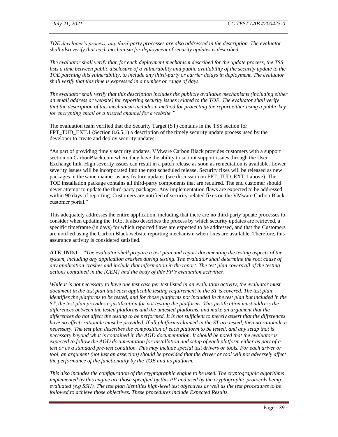*TOE developer's process, any third-party processes are also addressed in the description. The evaluator shall also verify that each mechanism for deployment of security updates is described.* 

*The evaluator shall verify that, for each deployment mechanism described for the update process, the TSS*  lists a time between public disclosure of a vulnerability and public availability of the security update to the *TOE patching this vulnerability, to include any third-party or carrier delays in deployment. The evaluator shall verify that this time is expressed in a number or range of days.* 

*The evaluator shall verify that this description includes the publicly available mechanisms (including either an email address or website) for reporting security issues related to the TOE. The evaluator shall verify that the description of this mechanism includes a method for protecting the report either using a public key for encrypting email or a trusted channel for a website."*

The evaluation team verified that the Security Target (ST) contains in the TSS section for FPT TUD EXT.1 (Section 8.6.5.1) a description of the timely security update process used by the developer to create and deploy security updates:

"As part of providing timely security updates, VMware Carbon Black provides customers with a support section on CarbonBlack.com where they have the ability to submit support issues through the User Exchange link. High severity issues can result in a patch release as soon as remediation is available. Lower severity issues will be incorporated into the next scheduled release. Security fixes will be released as new packages in the same manner as any feature updates (see discussion on FPT\_TUD\_EXT.1 above). The TOE installation package contains all third-party components that are required. The end customer should never attempt to update the third-party packages. Any implementation flaws are expected to be addressed within 90 days of reporting. Customers are notified of security-related fixes on the VMware Carbon Black customer portal."

This adequately addresses the entire application, including that there are no third-party update processes to consider when updating the TOE. It also describes the process by which security updates are retrieved, a specific timeframe (in days) for which reported flaws are expected to be addressed, and that the Customers are notified using the Carbon Black website reporting mechanism when fixes are available. Therefore, this assurance activity is considered satisfied.

**ATE\_IND.1** – "*The evaluator shall prepare a test plan and report documenting the testing aspects of the system, including any application crashes during testing. The evaluator shall determine the root cause of any application crashes and include that information in the report. The test plan covers all of the testing actions contained in the [CEM] and the body of this PP's evaluation activities.* 

*While it is not necessary to have one test case per test listed in an evaluation activity, the evaluator must document in the test plan that each applicable testing requirement in the [ST](https://www.niap-ccevs.org/MMO/PP/-429-/#abbr_ST) is covered. The test plan identifies the platforms to be tested, and for those platforms not included in the test plan but included in the [ST,](https://www.niap-ccevs.org/MMO/PP/-429-/#abbr_ST) the test plan provides a justification for not testing the platforms. This justification must address the differences between the tested platforms and the untested platforms, and make an argument that the differences do not affect the testing to be performed. It is not sufficient to merely assert that the differences have no effect; rationale must be provided. If all platforms claimed in the [ST](https://www.niap-ccevs.org/MMO/PP/-429-/#abbr_ST) are tested, then no rationale is necessary. The test plan describes the composition of each platform to be tested, and any setup that is necessary beyond what is contained in the AGD documentation. It should be noted that the evaluator is expected to follow the AGD documentation for installation and setup of each platform either as part of a test or as a standard pre-test condition. This may include special test drivers or tools. For each driver or tool, an argument (not just an assertion) should be provided that the driver or tool will not adversely affect the performance of the functionality by the [TOE](https://www.niap-ccevs.org/MMO/PP/-429-/#abbr_TOE) and its platform.* 

*This also includes the configuration of the cryptographic engine to be used. The cryptographic algorithms implemented by this engine are those specified by this PP and used by the cryptographic protocols being evaluated (e.g SSH). The test plan identifies high-level test objectives as well as the test procedures to be followed to achieve those objectives. These procedures include Expected Results.*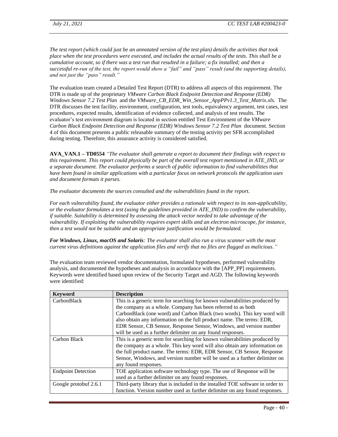*The test report (which could just be an annotated version of the test plan) details the activities that took place when the test procedures were executed, and includes the actual results of the tests. This shall be a cumulative account, so if there was a test run that resulted in a failure; a fix installed; and then a successful re-run of the test, the report would show a "fail" and "pass" result (and the supporting details), and not just the "pass" result."*

The evaluation team created a Detailed Test Report (DTR) to address all aspects of this requirement. The DTR is made up of the proprietary *VMware Carbon Black Endpoint Detection and Response (EDR) Windows Sensor 7.2 Test Plan* and the *VMware\_CB\_EDR\_Win\_Sensor\_AppPPv1.3\_Test\_Matrix.xls.* The DTR discusses the test facility, environment, configuration, test tools, equivalency argument, test cases, test procedures, expected results, identification of evidence collected, and analysis of test results. The evaluator's test environment diagram is located in section entitled Test Environment of the *VMware Carbon Black Endpoint Detection and Response (EDR) Windows Sensor 7.2 Test Plan* document. Section 4 of this document presents a public releasable summary of the testing activity per SFR accomplished during testing. Therefore, this assurance activity is considered satisfied.

**AVA\_VAN.1 – TD0554** *"The evaluator shall generate a report to document their findings with respect to this requirement. This report could physically be part of the overall test report mentioned in ATE\_IND, or a separate document. The evaluator performs a search of public information to find vulnerabilities that have been found in similar applications with a particular focus on network protocols the application uses and document formats it parses.*

*The evaluator documents the sources consulted and the vulnerabilities found in the report.*

*For each vulnerability found, the evaluator either provides a rationale with respect to its non-applicability, or the evaluator formulates a test (using the guidelines provided in ATE\_IND) to confirm the vulnerability, if suitable. Suitability is determined by assessing the attack vector needed to take advantage of the vulnerability. If exploiting the vulnerability requires expert skills and an electron microscope, for instance, then a test would not be suitable and an appropriate justification would be formulated.*

*For Windows, Linux, macOS and Solaris: The evaluator shall also run a virus scanner with the most current virus definitions against the application files and verify that no files are flagged as malicious*.*"*

The evaluation team reviewed vendor documentation, formulated hypotheses, performed vulnerability analysis, and documented the hypotheses and analysis in accordance with the [APP\_PP] requirements. Keywords were identified based upon review of the Security Target and AGD. The following keywords were identified:

| <b>Keyword</b>            | <b>Description</b>                                                             |
|---------------------------|--------------------------------------------------------------------------------|
| CarbonBlack               | This is a generic term for searching for known vulnerabilities produced by     |
|                           | the company as a whole. Company has been referred to as both                   |
|                           | CarbonBlack (one word) and Carbon Black (two words). This key word will        |
|                           | also obtain any information on the full product name. The terms: EDR,          |
|                           | EDR Sensor, CB Sensor, Response Sensor, Windows, and version number            |
|                           | will be used as a further delimiter on any found responses.                    |
| Carbon Black              | This is a generic term for searching for known vulnerabilities produced by     |
|                           | the company as a whole. This key word will also obtain any information on      |
|                           | the full product name. The terms: EDR, EDR Sensor, CB Sensor, Response         |
|                           | Sensor, Windows, and version number will be used as a further delimiter on     |
|                           | any found responses.                                                           |
| <b>Endpoint Detection</b> | TOE application software technology type. The use of Response will be          |
|                           | used as a further delimiter on any found responses.                            |
| Google protobuf 2.6.1     | Third-party library that is included in the installed TOE software in order to |
|                           | function. Version number used as further delimiter on any found responses.     |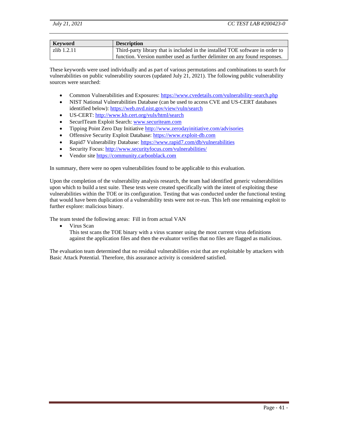| Keyword     | <b>Description</b>                                                             |
|-------------|--------------------------------------------------------------------------------|
| zlib 1.2.11 | Third-party library that is included in the installed TOE software in order to |
|             | function. Version number used as further delimiter on any found responses.     |

These keywords were used individually and as part of various permutations and combinations to search for vulnerabilities on public vulnerability sources (updated July 21, 2021). The following public vulnerability sources were searched:

- Common Vulnerabilities and Exposures: https://www.cvedetails.com/vulnerability-search.php
- NIST National Vulnerabilities Database (can be used to access CVE and US-CERT databases identified below):<https://web.nvd.nist.gov/view/vuln/search>
- US-CERT:<http://www.kb.cert.org/vuls/html/search>
- SecurITeam Exploit Search: [www.securiteam.com](http://www.securiteam.com/)
- Tipping Point Zero Day Initiative http://www.zerodayinitiative.com/advisories
- Offensive Security Exploit Database: [https://www.exploit-db.com](https://www.exploit-db.com/)
- Rapid7 Vulnerability Database: https://www.rapid7.com/db/vulnerabilities
- Security Focus:<http://www.securityfocus.com/vulnerabilities/>
- Vendor site [https://community.carbonblack.com](https://community.carbonblack.com/t5/forums/searchpage/tab/message?noSynonym=false&collapse_discussion=true)

In summary, there were no open vulnerabilities found to be applicable to this evaluation.

Upon the completion of the vulnerability analysis research, the team had identified generic vulnerabilities upon which to build a test suite. These tests were created specifically with the intent of exploiting these vulnerabilities within the TOE or its configuration. Testing that was conducted under the functional testing that would have been duplication of a vulnerability tests were not re-run. This left one remaining exploit to further explore: malicious binary.

The team tested the following areas: Fill in from actual VAN

• Virus Scan

This test scans the TOE binary with a virus scanner using the most current virus definitions against the application files and then the evaluator verifies that no files are flagged as malicious.

The evaluation team determined that no residual vulnerabilities exist that are exploitable by attackers with Basic Attack Potential. Therefore, this assurance activity is considered satisfied.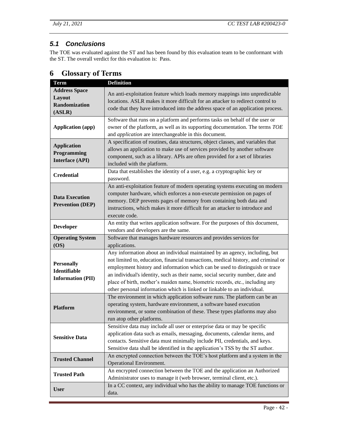## <span id="page-44-0"></span>*5.1 Conclusions*

The TOE was evaluated against the ST and has been found by this evaluation team to be conformant with the ST. The overall verdict for this evaluation is: Pass.

| <b>Term</b>              | <b>Definition</b>                                                                   |
|--------------------------|-------------------------------------------------------------------------------------|
|                          |                                                                                     |
| <b>Address Space</b>     | An anti-exploitation feature which loads memory mappings into unpredictable         |
| Layout                   | locations. ASLR makes it more difficult for an attacker to redirect control to      |
| <b>Randomization</b>     | code that they have introduced into the address space of an application process.    |
| (ASLR)                   |                                                                                     |
|                          | Software that runs on a platform and performs tasks on behalf of the user or        |
| <b>Application (app)</b> | owner of the platform, as well as its supporting documentation. The terms TOE       |
|                          | and <i>application</i> are interchangeable in this document.                        |
|                          | A specification of routines, data structures, object classes, and variables that    |
| <b>Application</b>       | allows an application to make use of services provided by another software          |
| Programming              | component, such as a library. APIs are often provided for a set of libraries        |
| <b>Interface (API)</b>   | included with the platform.                                                         |
|                          | Data that establishes the identity of a user, e.g. a cryptographic key or           |
| <b>Credential</b>        | password.                                                                           |
|                          | An anti-exploitation feature of modern operating systems executing on modern        |
|                          | computer hardware, which enforces a non-execute permission on pages of              |
| <b>Data Execution</b>    | memory. DEP prevents pages of memory from containing both data and                  |
| <b>Prevention (DEP)</b>  |                                                                                     |
|                          | instructions, which makes it more difficult for an attacker to introduce and        |
|                          | execute code.                                                                       |
| <b>Developer</b>         | An entity that writes application software. For the purposes of this document,      |
|                          | vendors and developers are the same.                                                |
| <b>Operating System</b>  | Software that manages hardware resources and provides services for                  |
| (OS)                     | applications.                                                                       |
|                          | Any information about an individual maintained by an agency, including, but         |
| <b>Personally</b>        | not limited to, education, financial transactions, medical history, and criminal or |
| <b>Identifiable</b>      | employment history and information which can be used to distinguish or trace        |
|                          | an individual's identity, such as their name, social security number, date and      |
| <b>Information (PII)</b> | place of birth, mother's maiden name, biometric records, etc., including any        |
|                          | other personal information which is linked or linkable to an individual.            |
|                          | The environment in which application software runs. The platform can be an          |
|                          | operating system, hardware environment, a software based execution                  |
| <b>Platform</b>          | environment, or some combination of these. These types platforms may also           |
|                          | run atop other platforms.                                                           |
|                          | Sensitive data may include all user or enterprise data or may be specific           |
|                          | application data such as emails, messaging, documents, calendar items, and          |
| <b>Sensitive Data</b>    | contacts. Sensitive data must minimally include PII, credentials, and keys.         |
|                          | Sensitive data shall be identified in the application's TSS by the ST author.       |
|                          |                                                                                     |
| <b>Trusted Channel</b>   | An encrypted connection between the TOE's host platform and a system in the         |
|                          | Operational Environment.                                                            |
| <b>Trusted Path</b>      | An encrypted connection between the TOE and the application an Authorized           |
|                          | Administrator uses to manage it (web browser, terminal client, etc.).               |
| <b>User</b>              | In a CC context, any individual who has the ability to manage TOE functions or      |
|                          | data.                                                                               |

## <span id="page-44-1"></span>**6 Glossary of Terms**